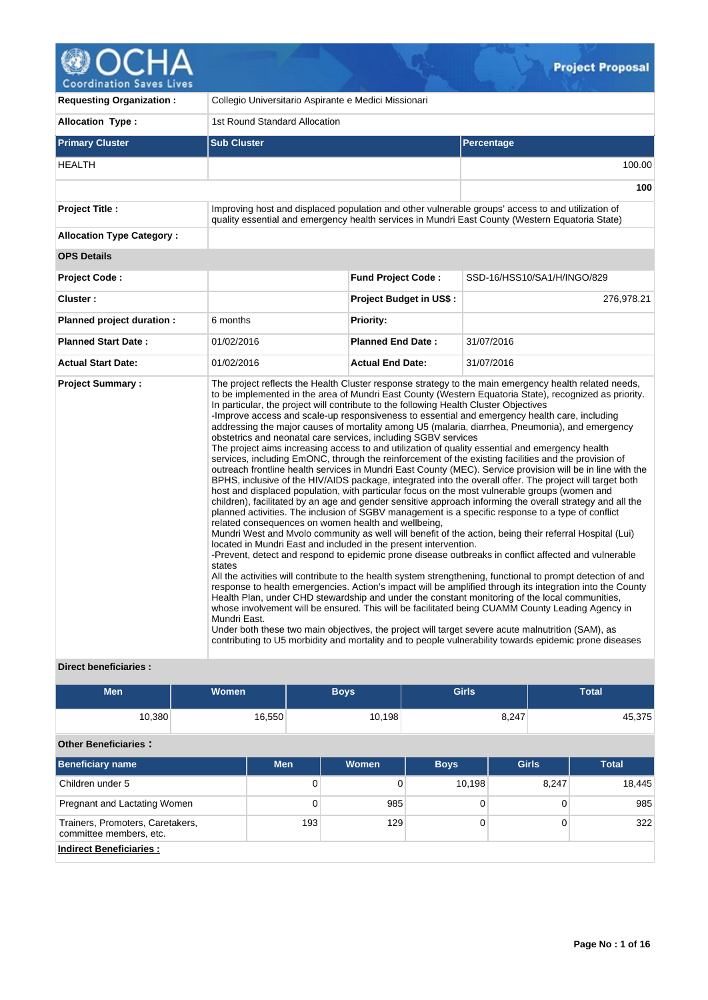# Coordination Saves Lives

| <b>Requesting Organization:</b>  | Collegio Universitario Aspirante e Medici Missionari |                                                                                                                                                                                                                                                                                    |                                                                                                                                                                                                                                                                                                                                                                                                                                                                                                                                                                                                                                                                                                                                                                                                                                                                                                                                                                                                                                                                                                                                                                                                                                                                                                                                                                                                                                                                                                                                                                                                                                                                                                                                                                                                                                                                                                                                                                                                                                                  |  |  |  |  |
|----------------------------------|------------------------------------------------------|------------------------------------------------------------------------------------------------------------------------------------------------------------------------------------------------------------------------------------------------------------------------------------|--------------------------------------------------------------------------------------------------------------------------------------------------------------------------------------------------------------------------------------------------------------------------------------------------------------------------------------------------------------------------------------------------------------------------------------------------------------------------------------------------------------------------------------------------------------------------------------------------------------------------------------------------------------------------------------------------------------------------------------------------------------------------------------------------------------------------------------------------------------------------------------------------------------------------------------------------------------------------------------------------------------------------------------------------------------------------------------------------------------------------------------------------------------------------------------------------------------------------------------------------------------------------------------------------------------------------------------------------------------------------------------------------------------------------------------------------------------------------------------------------------------------------------------------------------------------------------------------------------------------------------------------------------------------------------------------------------------------------------------------------------------------------------------------------------------------------------------------------------------------------------------------------------------------------------------------------------------------------------------------------------------------------------------------------|--|--|--|--|
| Allocation Type:                 |                                                      | 1st Round Standard Allocation                                                                                                                                                                                                                                                      |                                                                                                                                                                                                                                                                                                                                                                                                                                                                                                                                                                                                                                                                                                                                                                                                                                                                                                                                                                                                                                                                                                                                                                                                                                                                                                                                                                                                                                                                                                                                                                                                                                                                                                                                                                                                                                                                                                                                                                                                                                                  |  |  |  |  |
| <b>Primary Cluster</b>           | <b>Sub Cluster</b>                                   |                                                                                                                                                                                                                                                                                    | <b>Percentage</b>                                                                                                                                                                                                                                                                                                                                                                                                                                                                                                                                                                                                                                                                                                                                                                                                                                                                                                                                                                                                                                                                                                                                                                                                                                                                                                                                                                                                                                                                                                                                                                                                                                                                                                                                                                                                                                                                                                                                                                                                                                |  |  |  |  |
| <b>HEALTH</b>                    |                                                      | 100.00                                                                                                                                                                                                                                                                             |                                                                                                                                                                                                                                                                                                                                                                                                                                                                                                                                                                                                                                                                                                                                                                                                                                                                                                                                                                                                                                                                                                                                                                                                                                                                                                                                                                                                                                                                                                                                                                                                                                                                                                                                                                                                                                                                                                                                                                                                                                                  |  |  |  |  |
|                                  |                                                      |                                                                                                                                                                                                                                                                                    | 100                                                                                                                                                                                                                                                                                                                                                                                                                                                                                                                                                                                                                                                                                                                                                                                                                                                                                                                                                                                                                                                                                                                                                                                                                                                                                                                                                                                                                                                                                                                                                                                                                                                                                                                                                                                                                                                                                                                                                                                                                                              |  |  |  |  |
| <b>Project Title:</b>            |                                                      | Improving host and displaced population and other vulnerable groups' access to and utilization of<br>quality essential and emergency health services in Mundri East County (Western Equatoria State)                                                                               |                                                                                                                                                                                                                                                                                                                                                                                                                                                                                                                                                                                                                                                                                                                                                                                                                                                                                                                                                                                                                                                                                                                                                                                                                                                                                                                                                                                                                                                                                                                                                                                                                                                                                                                                                                                                                                                                                                                                                                                                                                                  |  |  |  |  |
| <b>Allocation Type Category:</b> |                                                      |                                                                                                                                                                                                                                                                                    |                                                                                                                                                                                                                                                                                                                                                                                                                                                                                                                                                                                                                                                                                                                                                                                                                                                                                                                                                                                                                                                                                                                                                                                                                                                                                                                                                                                                                                                                                                                                                                                                                                                                                                                                                                                                                                                                                                                                                                                                                                                  |  |  |  |  |
| <b>OPS Details</b>               |                                                      |                                                                                                                                                                                                                                                                                    |                                                                                                                                                                                                                                                                                                                                                                                                                                                                                                                                                                                                                                                                                                                                                                                                                                                                                                                                                                                                                                                                                                                                                                                                                                                                                                                                                                                                                                                                                                                                                                                                                                                                                                                                                                                                                                                                                                                                                                                                                                                  |  |  |  |  |
| <b>Project Code:</b>             |                                                      | <b>Fund Project Code:</b>                                                                                                                                                                                                                                                          | SSD-16/HSS10/SA1/H/INGO/829                                                                                                                                                                                                                                                                                                                                                                                                                                                                                                                                                                                                                                                                                                                                                                                                                                                                                                                                                                                                                                                                                                                                                                                                                                                                                                                                                                                                                                                                                                                                                                                                                                                                                                                                                                                                                                                                                                                                                                                                                      |  |  |  |  |
| Cluster:                         |                                                      | <b>Project Budget in US\$:</b>                                                                                                                                                                                                                                                     | 276,978.21                                                                                                                                                                                                                                                                                                                                                                                                                                                                                                                                                                                                                                                                                                                                                                                                                                                                                                                                                                                                                                                                                                                                                                                                                                                                                                                                                                                                                                                                                                                                                                                                                                                                                                                                                                                                                                                                                                                                                                                                                                       |  |  |  |  |
| Planned project duration :       | 6 months                                             | <b>Priority:</b>                                                                                                                                                                                                                                                                   |                                                                                                                                                                                                                                                                                                                                                                                                                                                                                                                                                                                                                                                                                                                                                                                                                                                                                                                                                                                                                                                                                                                                                                                                                                                                                                                                                                                                                                                                                                                                                                                                                                                                                                                                                                                                                                                                                                                                                                                                                                                  |  |  |  |  |
| <b>Planned Start Date:</b>       | 01/02/2016                                           | <b>Planned End Date:</b>                                                                                                                                                                                                                                                           | 31/07/2016                                                                                                                                                                                                                                                                                                                                                                                                                                                                                                                                                                                                                                                                                                                                                                                                                                                                                                                                                                                                                                                                                                                                                                                                                                                                                                                                                                                                                                                                                                                                                                                                                                                                                                                                                                                                                                                                                                                                                                                                                                       |  |  |  |  |
| <b>Actual Start Date:</b>        | 01/02/2016                                           | <b>Actual End Date:</b>                                                                                                                                                                                                                                                            | 31/07/2016                                                                                                                                                                                                                                                                                                                                                                                                                                                                                                                                                                                                                                                                                                                                                                                                                                                                                                                                                                                                                                                                                                                                                                                                                                                                                                                                                                                                                                                                                                                                                                                                                                                                                                                                                                                                                                                                                                                                                                                                                                       |  |  |  |  |
| <b>Project Summary:</b>          | states<br>Mundri East.                               | In particular, the project will contribute to the following Health Cluster Objectives<br>obstetrics and neonatal care services, including SGBV services<br>related consequences on women health and wellbeing,<br>located in Mundri East and included in the present intervention. | The project reflects the Health Cluster response strategy to the main emergency health related needs,<br>to be implemented in the area of Mundri East County (Western Equatoria State), recognized as priority.<br>-Improve access and scale-up responsiveness to essential and emergency health care, including<br>addressing the major causes of mortality among U5 (malaria, diarrhea, Pneumonia), and emergency<br>The project aims increasing access to and utilization of quality essential and emergency health<br>services, including EmONC, through the reinforcement of the existing facilities and the provision of<br>outreach frontline health services in Mundri East County (MEC). Service provision will be in line with the<br>BPHS, inclusive of the HIV/AIDS package, integrated into the overall offer. The project will target both<br>host and displaced population, with particular focus on the most vulnerable groups (women and<br>children), facilitated by an age and gender sensitive approach informing the overall strategy and all the<br>planned activities. The inclusion of SGBV management is a specific response to a type of conflict<br>Mundri West and Mvolo community as well will benefit of the action, being their referral Hospital (Lui)<br>-Prevent, detect and respond to epidemic prone disease outbreaks in conflict affected and vulnerable<br>All the activities will contribute to the health system strengthening, functional to prompt detection of and<br>response to health emergencies. Action's impact will be amplified through its integration into the County<br>Health Plan, under CHD stewardship and under the constant monitoring of the local communities,<br>whose involvement will be ensured. This will be facilitated being CUAMM County Leading Agency in<br>Under both these two main objectives, the project will target severe acute malnutrition (SAM), as<br>contributing to U5 morbidity and mortality and to people vulnerability towards epidemic prone diseases |  |  |  |  |

## **Direct beneficiaries :**

| <b>Men</b> | Women <sup>1</sup> | <b>Boys</b> | <b>Girls</b> | <b>Total</b> |
|------------|--------------------|-------------|--------------|--------------|
| 10,380     | 16,550             | 10,198      | 8,247        | 45,375       |

# **Other Beneficiaries :**

| <b>Beneficiary name</b>                                     | <b>Men</b> | Women | <b>Boys</b> | <b>Girls</b> | <b>Total</b> |
|-------------------------------------------------------------|------------|-------|-------------|--------------|--------------|
| Children under 5                                            | 0          |       | 10,198      | 8,247        | 18,445       |
| Pregnant and Lactating Women                                | 0          | 985   |             |              | 985          |
| Trainers, Promoters, Caretakers,<br>committee members, etc. | 193        | 129   |             |              | 322          |
| <b>Indirect Beneficiaries:</b>                              |            |       |             |              |              |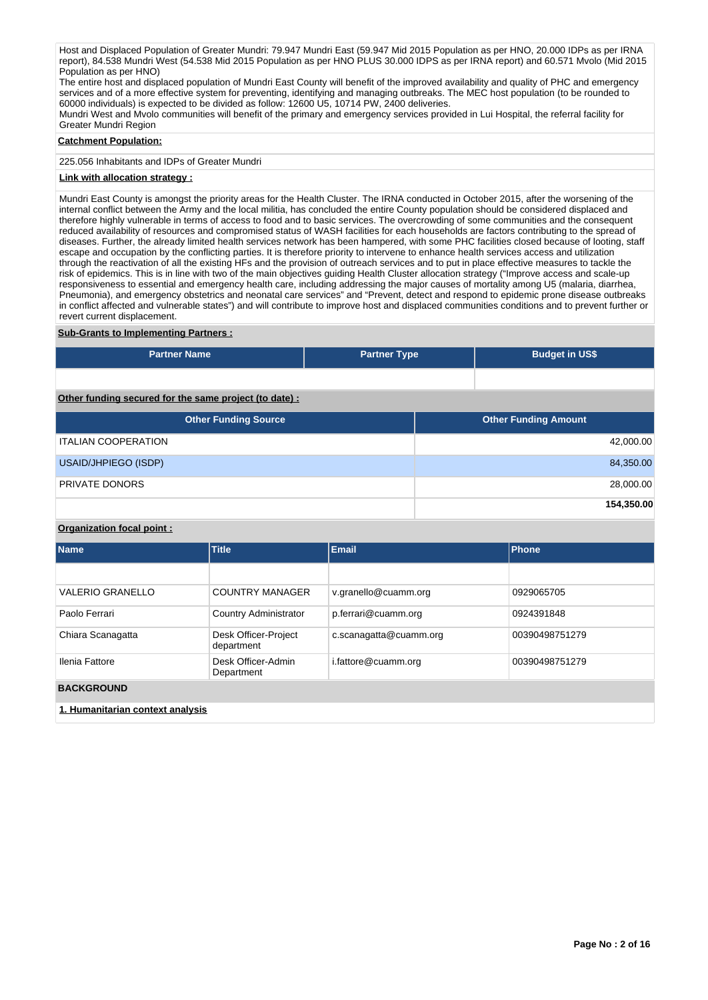Host and Displaced Population of Greater Mundri: 79.947 Mundri East (59.947 Mid 2015 Population as per HNO, 20.000 IDPs as per IRNA report), 84.538 Mundri West (54.538 Mid 2015 Population as per HNO PLUS 30.000 IDPS as per IRNA report) and 60.571 Mvolo (Mid 2015 Population as per HNO)

The entire host and displaced population of Mundri East County will benefit of the improved availability and quality of PHC and emergency services and of a more effective system for preventing, identifying and managing outbreaks. The MEC host population (to be rounded to 60000 individuals) is expected to be divided as follow: 12600 U5, 10714 PW, 2400 deliveries.

Mundri West and Mvolo communities will benefit of the primary and emergency services provided in Lui Hospital, the referral facility for Greater Mundri Region

## **Catchment Population:**

225.056 Inhabitants and IDPs of Greater Mundri

## **Link with allocation strategy :**

Mundri East County is amongst the priority areas for the Health Cluster. The IRNA conducted in October 2015, after the worsening of the internal conflict between the Army and the local militia, has concluded the entire County population should be considered displaced and therefore highly vulnerable in terms of access to food and to basic services. The overcrowding of some communities and the consequent reduced availability of resources and compromised status of WASH facilities for each households are factors contributing to the spread of diseases. Further, the already limited health services network has been hampered, with some PHC facilities closed because of looting, staff escape and occupation by the conflicting parties. It is therefore priority to intervene to enhance health services access and utilization through the reactivation of all the existing HFs and the provision of outreach services and to put in place effective measures to tackle the risk of epidemics. This is in line with two of the main objectives guiding Health Cluster allocation strategy ("Improve access and scale-up responsiveness to essential and emergency health care, including addressing the major causes of mortality among U5 (malaria, diarrhea, Pneumonia), and emergency obstetrics and neonatal care services" and "Prevent, detect and respond to epidemic prone disease outbreaks in conflict affected and vulnerable states") and will contribute to improve host and displaced communities conditions and to prevent further or revert current displacement.

## **Sub-Grants to Implementing Partners :**

| <b>Partner Name</b>                                   | <b>Partner Type</b> | <b>Budget in US\$</b>       |  |  |  |  |  |  |  |  |  |
|-------------------------------------------------------|---------------------|-----------------------------|--|--|--|--|--|--|--|--|--|
|                                                       |                     |                             |  |  |  |  |  |  |  |  |  |
| Other funding secured for the same project (to date): |                     |                             |  |  |  |  |  |  |  |  |  |
| <b>Other Funding Source</b>                           |                     | <b>Other Funding Amount</b> |  |  |  |  |  |  |  |  |  |
| <b>ITALIAN COOPERATION</b>                            |                     | 42,000.00                   |  |  |  |  |  |  |  |  |  |
| USAID/JHPIEGO (ISDP)                                  |                     | 84,350.00                   |  |  |  |  |  |  |  |  |  |

PRIVATE DONORS 28,000.00

## **Organization focal point :**

| <b>Name</b>                      | <b>Title</b>                       | Email                  | Phone          |  |  |  |  |
|----------------------------------|------------------------------------|------------------------|----------------|--|--|--|--|
|                                  |                                    |                        |                |  |  |  |  |
| <b>VALERIO GRANELLO</b>          | <b>COUNTRY MANAGER</b>             | v.granello@cuamm.org   | 0929065705     |  |  |  |  |
| Paolo Ferrari                    | Country Administrator              | p.ferrari@cuamm.org    | 0924391848     |  |  |  |  |
| Chiara Scanagatta                | Desk Officer-Project<br>department | c.scanagatta@cuamm.org | 00390498751279 |  |  |  |  |
| Ilenia Fattore                   | Desk Officer-Admin<br>Department   | i.fattore@cuamm.org    | 00390498751279 |  |  |  |  |
| <b>BACKGROUND</b>                |                                    |                        |                |  |  |  |  |
| 1. Humanitarian context analysis |                                    |                        |                |  |  |  |  |

**154,350.00**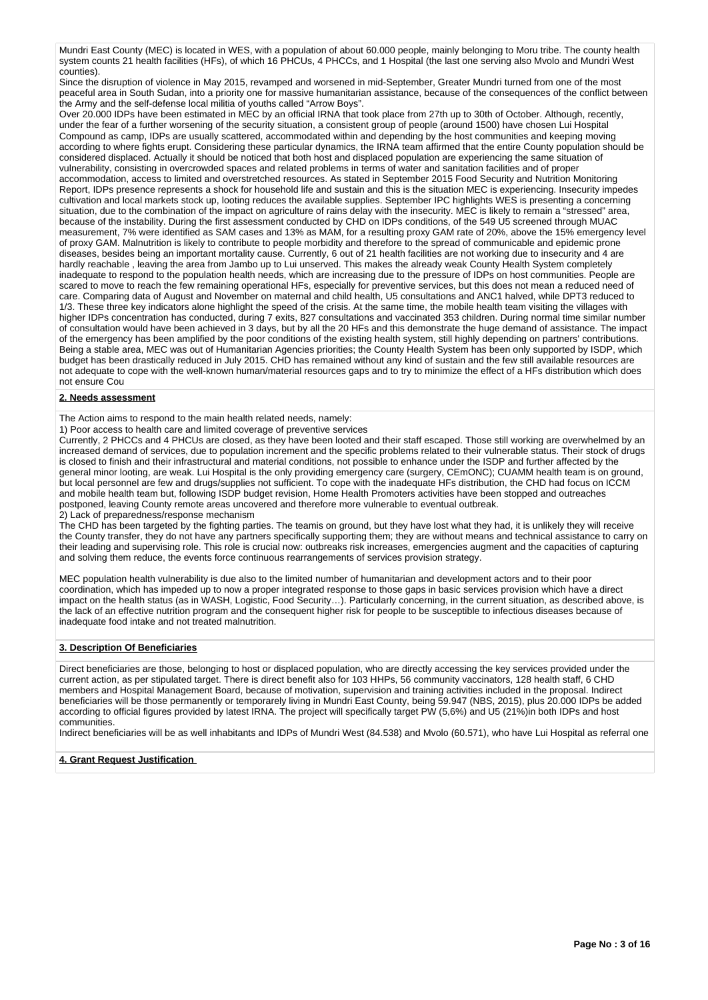Mundri East County (MEC) is located in WES, with a population of about 60.000 people, mainly belonging to Moru tribe. The county health system counts 21 health facilities (HFs), of which 16 PHCUs, 4 PHCCs, and 1 Hospital (the last one serving also Mvolo and Mundri West counties).

Since the disruption of violence in May 2015, revamped and worsened in mid-September, Greater Mundri turned from one of the most peaceful area in South Sudan, into a priority one for massive humanitarian assistance, because of the consequences of the conflict between the Army and the self-defense local militia of youths called "Arrow Boys".

Over 20.000 IDPs have been estimated in MEC by an official IRNA that took place from 27th up to 30th of October. Although, recently, under the fear of a further worsening of the security situation, a consistent group of people (around 1500) have chosen Lui Hospital Compound as camp, IDPs are usually scattered, accommodated within and depending by the host communities and keeping moving according to where fights erupt. Considering these particular dynamics, the IRNA team affirmed that the entire County population should be considered displaced. Actually it should be noticed that both host and displaced population are experiencing the same situation of vulnerability, consisting in overcrowded spaces and related problems in terms of water and sanitation facilities and of proper accommodation, access to limited and overstretched resources. As stated in September 2015 Food Security and Nutrition Monitoring Report, IDPs presence represents a shock for household life and sustain and this is the situation MEC is experiencing. Insecurity impedes cultivation and local markets stock up, looting reduces the available supplies. September IPC highlights WES is presenting a concerning situation, due to the combination of the impact on agriculture of rains delay with the insecurity. MEC is likely to remain a "stressed" area, because of the instability. During the first assessment conducted by CHD on IDPs conditions, of the 549 U5 screened through MUAC measurement, 7% were identified as SAM cases and 13% as MAM, for a resulting proxy GAM rate of 20%, above the 15% emergency level of proxy GAM. Malnutrition is likely to contribute to people morbidity and therefore to the spread of communicable and epidemic prone diseases, besides being an important mortality cause. Currently, 6 out of 21 health facilities are not working due to insecurity and 4 are hardly reachable , leaving the area from Jambo up to Lui unserved. This makes the already weak County Health System completely inadequate to respond to the population health needs, which are increasing due to the pressure of IDPs on host communities. People are scared to move to reach the few remaining operational HFs, especially for preventive services, but this does not mean a reduced need of care. Comparing data of August and November on maternal and child health, U5 consultations and ANC1 halved, while DPT3 reduced to 1/3. These three key indicators alone highlight the speed of the crisis. At the same time, the mobile health team visiting the villages with higher IDPs concentration has conducted, during 7 exits, 827 consultations and vaccinated 353 children. During normal time similar number of consultation would have been achieved in 3 days, but by all the 20 HFs and this demonstrate the huge demand of assistance. The impact of the emergency has been amplified by the poor conditions of the existing health system, still highly depending on partners' contributions. Being a stable area, MEC was out of Humanitarian Agencies priorities; the County Health System has been only supported by ISDP, which budget has been drastically reduced in July 2015. CHD has remained without any kind of sustain and the few still available resources are not adequate to cope with the well-known human/material resources gaps and to try to minimize the effect of a HFs distribution which does not ensure Cou

## **2. Needs assessment**

The Action aims to respond to the main health related needs, namely:

1) Poor access to health care and limited coverage of preventive services

Currently, 2 PHCCs and 4 PHCUs are closed, as they have been looted and their staff escaped. Those still working are overwhelmed by an increased demand of services, due to population increment and the specific problems related to their vulnerable status. Their stock of drugs is closed to finish and their infrastructural and material conditions, not possible to enhance under the ISDP and further affected by the general minor looting, are weak. Lui Hospital is the only providing emergency care (surgery, CEmONC); CUAMM health team is on ground, but local personnel are few and drugs/supplies not sufficient. To cope with the inadequate HFs distribution, the CHD had focus on ICCM and mobile health team but, following ISDP budget revision, Home Health Promoters activities have been stopped and outreaches postponed, leaving County remote areas uncovered and therefore more vulnerable to eventual outbreak. 2) Lack of preparedness/response mechanism

The CHD has been targeted by the fighting parties. The teamis on ground, but they have lost what they had, it is unlikely they will receive the County transfer, they do not have any partners specifically supporting them; they are without means and technical assistance to carry on their leading and supervising role. This role is crucial now: outbreaks risk increases, emergencies augment and the capacities of capturing and solving them reduce, the events force continuous rearrangements of services provision strategy.

MEC population health vulnerability is due also to the limited number of humanitarian and development actors and to their poor coordination, which has impeded up to now a proper integrated response to those gaps in basic services provision which have a direct impact on the health status (as in WASH, Logistic, Food Security…). Particularly concerning, in the current situation, as described above, is the lack of an effective nutrition program and the consequent higher risk for people to be susceptible to infectious diseases because of inadequate food intake and not treated malnutrition.

## **3. Description Of Beneficiaries**

Direct beneficiaries are those, belonging to host or displaced population, who are directly accessing the key services provided under the current action, as per stipulated target. There is direct benefit also for 103 HHPs, 56 community vaccinators, 128 health staff, 6 CHD members and Hospital Management Board, because of motivation, supervision and training activities included in the proposal. Indirect beneficiaries will be those permanently or temporarely living in Mundri East County, being 59.947 (NBS, 2015), plus 20.000 IDPs be added according to official figures provided by latest IRNA. The project will specifically target PW (5,6%) and U5 (21%)in both IDPs and host communities.

Indirect beneficiaries will be as well inhabitants and IDPs of Mundri West (84.538) and Mvolo (60.571), who have Lui Hospital as referral one

#### **4. Grant Request Justification**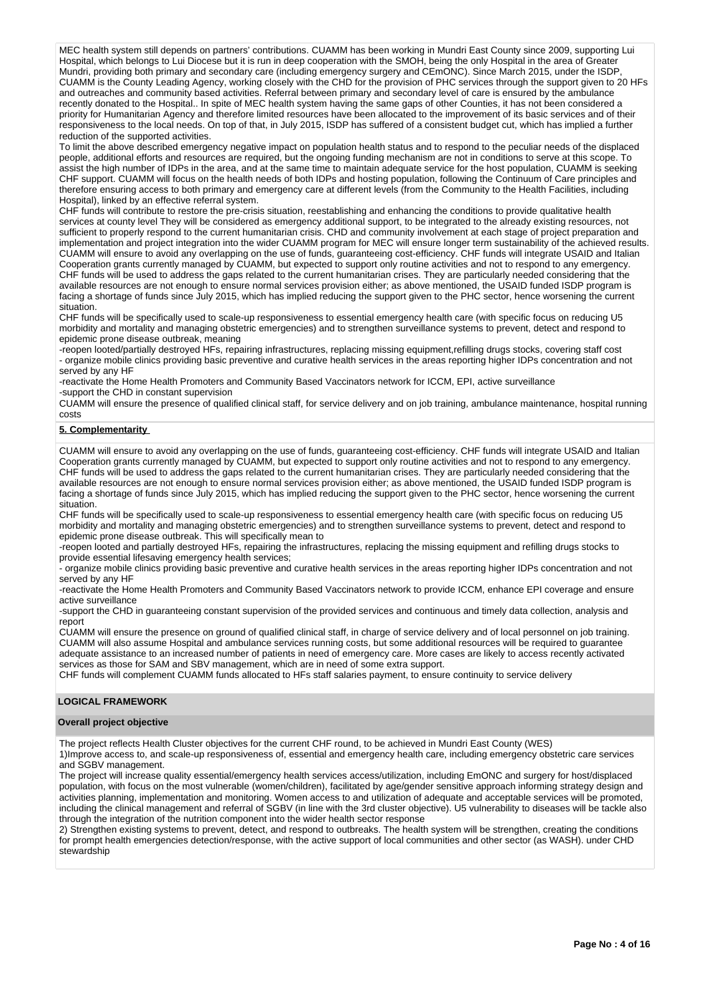MEC health system still depends on partners' contributions. CUAMM has been working in Mundri East County since 2009, supporting Lui Hospital, which belongs to Lui Diocese but it is run in deep cooperation with the SMOH, being the only Hospital in the area of Greater Mundri, providing both primary and secondary care (including emergency surgery and CEmONC). Since March 2015, under the ISDP, CUAMM is the County Leading Agency, working closely with the CHD for the provision of PHC services through the support given to 20 HFs and outreaches and community based activities. Referral between primary and secondary level of care is ensured by the ambulance recently donated to the Hospital.. In spite of MEC health system having the same gaps of other Counties, it has not been considered a priority for Humanitarian Agency and therefore limited resources have been allocated to the improvement of its basic services and of their responsiveness to the local needs. On top of that, in July 2015, ISDP has suffered of a consistent budget cut, which has implied a further reduction of the supported activities.

To limit the above described emergency negative impact on population health status and to respond to the peculiar needs of the displaced people, additional efforts and resources are required, but the ongoing funding mechanism are not in conditions to serve at this scope. To assist the high number of IDPs in the area, and at the same time to maintain adequate service for the host population, CUAMM is seeking CHF support. CUAMM will focus on the health needs of both IDPs and hosting population, following the Continuum of Care principles and therefore ensuring access to both primary and emergency care at different levels (from the Community to the Health Facilities, including Hospital), linked by an effective referral system.

CHF funds will contribute to restore the pre-crisis situation, reestablishing and enhancing the conditions to provide qualitative health services at county level They will be considered as emergency additional support, to be integrated to the already existing resources, not sufficient to properly respond to the current humanitarian crisis. CHD and community involvement at each stage of project preparation and implementation and project integration into the wider CUAMM program for MEC will ensure longer term sustainability of the achieved results. CUAMM will ensure to avoid any overlapping on the use of funds, guaranteeing cost-efficiency. CHF funds will integrate USAID and Italian Cooperation grants currently managed by CUAMM, but expected to support only routine activities and not to respond to any emergency. CHF funds will be used to address the gaps related to the current humanitarian crises. They are particularly needed considering that the available resources are not enough to ensure normal services provision either; as above mentioned, the USAID funded ISDP program is facing a shortage of funds since July 2015, which has implied reducing the support given to the PHC sector, hence worsening the current situation.

CHF funds will be specifically used to scale-up responsiveness to essential emergency health care (with specific focus on reducing U5 morbidity and mortality and managing obstetric emergencies) and to strengthen surveillance systems to prevent, detect and respond to epidemic prone disease outbreak, meaning

-reopen looted/partially destroyed HFs, repairing infrastructures, replacing missing equipment,refilling drugs stocks, covering staff cost - organize mobile clinics providing basic preventive and curative health services in the areas reporting higher IDPs concentration and not served by any HF

-reactivate the Home Health Promoters and Community Based Vaccinators network for ICCM, EPI, active surveillance -support the CHD in constant supervision

CUAMM will ensure the presence of qualified clinical staff, for service delivery and on job training, ambulance maintenance, hospital running costs

#### **5. Complementarity**

CUAMM will ensure to avoid any overlapping on the use of funds, guaranteeing cost-efficiency. CHF funds will integrate USAID and Italian Cooperation grants currently managed by CUAMM, but expected to support only routine activities and not to respond to any emergency. CHF funds will be used to address the gaps related to the current humanitarian crises. They are particularly needed considering that the available resources are not enough to ensure normal services provision either; as above mentioned, the USAID funded ISDP program is facing a shortage of funds since July 2015, which has implied reducing the support given to the PHC sector, hence worsening the current situation.

CHF funds will be specifically used to scale-up responsiveness to essential emergency health care (with specific focus on reducing U5 morbidity and mortality and managing obstetric emergencies) and to strengthen surveillance systems to prevent, detect and respond to epidemic prone disease outbreak. This will specifically mean to

-reopen looted and partially destroyed HFs, repairing the infrastructures, replacing the missing equipment and refilling drugs stocks to provide essential lifesaving emergency health services;

- organize mobile clinics providing basic preventive and curative health services in the areas reporting higher IDPs concentration and not served by any HF

-reactivate the Home Health Promoters and Community Based Vaccinators network to provide ICCM, enhance EPI coverage and ensure active surveillance

-support the CHD in guaranteeing constant supervision of the provided services and continuous and timely data collection, analysis and report

CUAMM will ensure the presence on ground of qualified clinical staff, in charge of service delivery and of local personnel on job training. CUAMM will also assume Hospital and ambulance services running costs, but some additional resources will be required to guarantee adequate assistance to an increased number of patients in need of emergency care. More cases are likely to access recently activated services as those for SAM and SBV management, which are in need of some extra support.

CHF funds will complement CUAMM funds allocated to HFs staff salaries payment, to ensure continuity to service delivery

#### **LOGICAL FRAMEWORK**

#### **Overall project objective**

The project reflects Health Cluster objectives for the current CHF round, to be achieved in Mundri East County (WES) 1)Improve access to, and scale-up responsiveness of, essential and emergency health care, including emergency obstetric care services

and SGBV management.

The project will increase quality essential/emergency health services access/utilization, including EmONC and surgery for host/displaced population, with focus on the most vulnerable (women/children), facilitated by age/gender sensitive approach informing strategy design and activities planning, implementation and monitoring. Women access to and utilization of adequate and acceptable services will be promoted, including the clinical management and referral of SGBV (in line with the 3rd cluster objective). U5 vulnerability to diseases will be tackle also through the integration of the nutrition component into the wider health sector response

2) Strengthen existing systems to prevent, detect, and respond to outbreaks. The health system will be strengthen, creating the conditions for prompt health emergencies detection/response, with the active support of local communities and other sector (as WASH). under CHD stewardship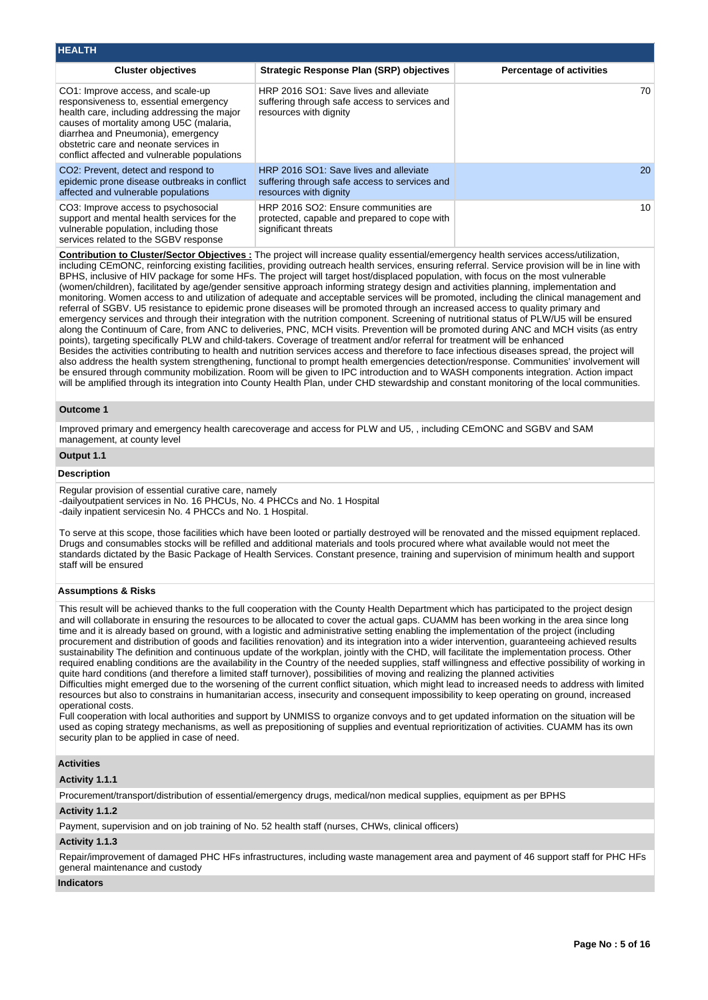| <b>HEALTH</b>                                                                                                                                                                                                                                                                                         |                                                                                                                   |                                 |
|-------------------------------------------------------------------------------------------------------------------------------------------------------------------------------------------------------------------------------------------------------------------------------------------------------|-------------------------------------------------------------------------------------------------------------------|---------------------------------|
| <b>Cluster objectives</b>                                                                                                                                                                                                                                                                             | <b>Strategic Response Plan (SRP) objectives</b>                                                                   | <b>Percentage of activities</b> |
| CO1: Improve access, and scale-up<br>responsiveness to, essential emergency<br>health care, including addressing the major<br>causes of mortality among U5C (malaria,<br>diarrhea and Pneumonia), emergency<br>obstetric care and neonate services in<br>conflict affected and vulnerable populations | HRP 2016 SO1: Save lives and alleviate<br>suffering through safe access to services and<br>resources with dignity | 70.                             |
| CO <sub>2</sub> : Prevent, detect and respond to<br>epidemic prone disease outbreaks in conflict<br>affected and vulnerable populations                                                                                                                                                               | HRP 2016 SO1: Save lives and alleviate<br>suffering through safe access to services and<br>resources with dignity | 20                              |
| CO3: Improve access to psychosocial<br>support and mental health services for the<br>vulnerable population, including those<br>services related to the SGBV response                                                                                                                                  | HRP 2016 SO2: Ensure communities are<br>protected, capable and prepared to cope with<br>significant threats       | 10 <sup>1</sup>                 |

**Contribution to Cluster/Sector Objectives :** The project will increase quality essential/emergency health services access/utilization, including CEmONC, reinforcing existing facilities, providing outreach health services, ensuring referral. Service provision will be in line with BPHS, inclusive of HIV package for some HFs. The project will target host/displaced population, with focus on the most vulnerable (women/children), facilitated by age/gender sensitive approach informing strategy design and activities planning, implementation and monitoring. Women access to and utilization of adequate and acceptable services will be promoted, including the clinical management and referral of SGBV. U5 resistance to epidemic prone diseases will be promoted through an increased access to quality primary and emergency services and through their integration with the nutrition component. Screening of nutritional status of PLW/U5 will be ensured along the Continuum of Care, from ANC to deliveries, PNC, MCH visits. Prevention will be promoted during ANC and MCH visits (as entry points), targeting specifically PLW and child-takers. Coverage of treatment and/or referral for treatment will be enhanced Besides the activities contributing to health and nutrition services access and therefore to face infectious diseases spread, the project will also address the health system strengthening, functional to prompt health emergencies detection/response. Communities' involvement will be ensured through community mobilization. Room will be given to IPC introduction and to WASH components integration. Action impact will be amplified through its integration into County Health Plan, under CHD stewardship and constant monitoring of the local communities.

#### **Outcome 1**

Improved primary and emergency health carecoverage and access for PLW and U5, , including CEmONC and SGBV and SAM management, at county level

#### **Output 1.1**

#### **Description**

Regular provision of essential curative care, namely -dailyoutpatient services in No. 16 PHCUs, No. 4 PHCCs and No. 1 Hospital -daily inpatient servicesin No. 4 PHCCs and No. 1 Hospital.

To serve at this scope, those facilities which have been looted or partially destroyed will be renovated and the missed equipment replaced. Drugs and consumables stocks will be refilled and additional materials and tools procured where what available would not meet the standards dictated by the Basic Package of Health Services. Constant presence, training and supervision of minimum health and support staff will be ensured

#### **Assumptions & Risks**

This result will be achieved thanks to the full cooperation with the County Health Department which has participated to the project design and will collaborate in ensuring the resources to be allocated to cover the actual gaps. CUAMM has been working in the area since long time and it is already based on ground, with a logistic and administrative setting enabling the implementation of the project (including procurement and distribution of goods and facilities renovation) and its integration into a wider intervention, guaranteeing achieved results sustainability The definition and continuous update of the workplan, jointly with the CHD, will facilitate the implementation process. Other required enabling conditions are the availability in the Country of the needed supplies, staff willingness and effective possibility of working in quite hard conditions (and therefore a limited staff turnover), possibilities of moving and realizing the planned activities

Difficulties might emerged due to the worsening of the current conflict situation, which might lead to increased needs to address with limited resources but also to constrains in humanitarian access, insecurity and consequent impossibility to keep operating on ground, increased operational costs.

Full cooperation with local authorities and support by UNMISS to organize convoys and to get updated information on the situation will be used as coping strategy mechanisms, as well as prepositioning of supplies and eventual reprioritization of activities. CUAMM has its own security plan to be applied in case of need.

#### **Activities**

#### **Activity 1.1.1**

Procurement/transport/distribution of essential/emergency drugs, medical/non medical supplies, equipment as per BPHS

#### **Activity 1.1.2**

Payment, supervision and on job training of No. 52 health staff (nurses, CHWs, clinical officers)

#### **Activity 1.1.3**

Repair/improvement of damaged PHC HFs infrastructures, including waste management area and payment of 46 support staff for PHC HFs general maintenance and custody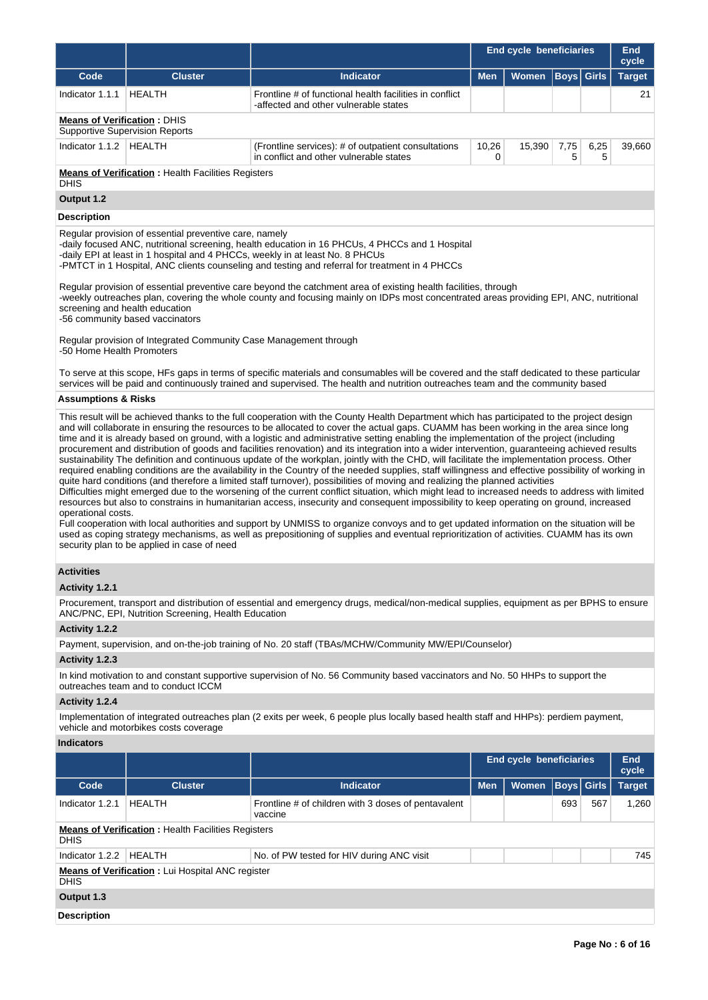|                                                                                                                                                                                                                                                                                                                                                                                                                                                                                                                                                                                                                                                                                                                                                                                                                                                                                                                                                                                                                                                                                                                                                                                                                                                                                                                                                                                                                                                                                                                                                                                                                                                                                    |                                                                                                                                                                                                  |                                                                                                                                                                                                                                                                                                                                                                                                                                                                                                                                                                                                                                                                                                                                                                                                                                   | <b>End cycle beneficiaries</b> |        |                   |           | End<br>cycle  |  |
|------------------------------------------------------------------------------------------------------------------------------------------------------------------------------------------------------------------------------------------------------------------------------------------------------------------------------------------------------------------------------------------------------------------------------------------------------------------------------------------------------------------------------------------------------------------------------------------------------------------------------------------------------------------------------------------------------------------------------------------------------------------------------------------------------------------------------------------------------------------------------------------------------------------------------------------------------------------------------------------------------------------------------------------------------------------------------------------------------------------------------------------------------------------------------------------------------------------------------------------------------------------------------------------------------------------------------------------------------------------------------------------------------------------------------------------------------------------------------------------------------------------------------------------------------------------------------------------------------------------------------------------------------------------------------------|--------------------------------------------------------------------------------------------------------------------------------------------------------------------------------------------------|-----------------------------------------------------------------------------------------------------------------------------------------------------------------------------------------------------------------------------------------------------------------------------------------------------------------------------------------------------------------------------------------------------------------------------------------------------------------------------------------------------------------------------------------------------------------------------------------------------------------------------------------------------------------------------------------------------------------------------------------------------------------------------------------------------------------------------------|--------------------------------|--------|-------------------|-----------|---------------|--|
| Code                                                                                                                                                                                                                                                                                                                                                                                                                                                                                                                                                                                                                                                                                                                                                                                                                                                                                                                                                                                                                                                                                                                                                                                                                                                                                                                                                                                                                                                                                                                                                                                                                                                                               | <b>Cluster</b>                                                                                                                                                                                   | <b>Indicator</b>                                                                                                                                                                                                                                                                                                                                                                                                                                                                                                                                                                                                                                                                                                                                                                                                                  | <b>Men</b>                     | Women  | <b>Boys</b> Girls |           | <b>Target</b> |  |
| Indicator 1.1.1                                                                                                                                                                                                                                                                                                                                                                                                                                                                                                                                                                                                                                                                                                                                                                                                                                                                                                                                                                                                                                                                                                                                                                                                                                                                                                                                                                                                                                                                                                                                                                                                                                                                    | HEALTH                                                                                                                                                                                           | Frontline # of functional health facilities in conflict<br>-affected and other vulnerable states                                                                                                                                                                                                                                                                                                                                                                                                                                                                                                                                                                                                                                                                                                                                  |                                |        |                   |           | 21            |  |
| <b>Means of Verification: DHIS</b>                                                                                                                                                                                                                                                                                                                                                                                                                                                                                                                                                                                                                                                                                                                                                                                                                                                                                                                                                                                                                                                                                                                                                                                                                                                                                                                                                                                                                                                                                                                                                                                                                                                 | <b>Supportive Supervision Reports</b>                                                                                                                                                            |                                                                                                                                                                                                                                                                                                                                                                                                                                                                                                                                                                                                                                                                                                                                                                                                                                   |                                |        |                   |           |               |  |
| Indicator 1.1.2   HEALTH                                                                                                                                                                                                                                                                                                                                                                                                                                                                                                                                                                                                                                                                                                                                                                                                                                                                                                                                                                                                                                                                                                                                                                                                                                                                                                                                                                                                                                                                                                                                                                                                                                                           |                                                                                                                                                                                                  | (Frontline services): # of outpatient consultations<br>in conflict and other vulnerable states                                                                                                                                                                                                                                                                                                                                                                                                                                                                                                                                                                                                                                                                                                                                    | 10,26<br>0                     | 15,390 | 7,75<br>5         | 6,25<br>5 | 39,660        |  |
| <b>DHIS</b>                                                                                                                                                                                                                                                                                                                                                                                                                                                                                                                                                                                                                                                                                                                                                                                                                                                                                                                                                                                                                                                                                                                                                                                                                                                                                                                                                                                                                                                                                                                                                                                                                                                                        | <b>Means of Verification:</b> Health Facilities Registers                                                                                                                                        |                                                                                                                                                                                                                                                                                                                                                                                                                                                                                                                                                                                                                                                                                                                                                                                                                                   |                                |        |                   |           |               |  |
| Output 1.2                                                                                                                                                                                                                                                                                                                                                                                                                                                                                                                                                                                                                                                                                                                                                                                                                                                                                                                                                                                                                                                                                                                                                                                                                                                                                                                                                                                                                                                                                                                                                                                                                                                                         |                                                                                                                                                                                                  |                                                                                                                                                                                                                                                                                                                                                                                                                                                                                                                                                                                                                                                                                                                                                                                                                                   |                                |        |                   |           |               |  |
| <b>Description</b>                                                                                                                                                                                                                                                                                                                                                                                                                                                                                                                                                                                                                                                                                                                                                                                                                                                                                                                                                                                                                                                                                                                                                                                                                                                                                                                                                                                                                                                                                                                                                                                                                                                                 |                                                                                                                                                                                                  |                                                                                                                                                                                                                                                                                                                                                                                                                                                                                                                                                                                                                                                                                                                                                                                                                                   |                                |        |                   |           |               |  |
| -50 Home Health Promoters                                                                                                                                                                                                                                                                                                                                                                                                                                                                                                                                                                                                                                                                                                                                                                                                                                                                                                                                                                                                                                                                                                                                                                                                                                                                                                                                                                                                                                                                                                                                                                                                                                                          | Regular provision of essential preventive care, namely<br>screening and health education<br>-56 community based vaccinators<br>Regular provision of Integrated Community Case Management through | -daily focused ANC, nutritional screening, health education in 16 PHCUs, 4 PHCCs and 1 Hospital<br>-daily EPI at least in 1 hospital and 4 PHCCs, weekly in at least No. 8 PHCUs<br>-PMTCT in 1 Hospital, ANC clients counseling and testing and referral for treatment in 4 PHCCs<br>Regular provision of essential preventive care beyond the catchment area of existing health facilities, through<br>-weekly outreaches plan, covering the whole county and focusing mainly on IDPs most concentrated areas providing EPI, ANC, nutritional<br>To serve at this scope, HFs gaps in terms of specific materials and consumables will be covered and the staff dedicated to these particular<br>services will be paid and continuously trained and supervised. The health and nutrition outreaches team and the community based |                                |        |                   |           |               |  |
| <b>Assumptions &amp; Risks</b>                                                                                                                                                                                                                                                                                                                                                                                                                                                                                                                                                                                                                                                                                                                                                                                                                                                                                                                                                                                                                                                                                                                                                                                                                                                                                                                                                                                                                                                                                                                                                                                                                                                     |                                                                                                                                                                                                  |                                                                                                                                                                                                                                                                                                                                                                                                                                                                                                                                                                                                                                                                                                                                                                                                                                   |                                |        |                   |           |               |  |
| This result will be achieved thanks to the full cooperation with the County Health Department which has participated to the project design<br>and will collaborate in ensuring the resources to be allocated to cover the actual gaps. CUAMM has been working in the area since long<br>time and it is already based on ground, with a logistic and administrative setting enabling the implementation of the project (including<br>procurement and distribution of goods and facilities renovation) and its integration into a wider intervention, guaranteeing achieved results<br>sustainability The definition and continuous update of the workplan, jointly with the CHD, will facilitate the implementation process. Other<br>required enabling conditions are the availability in the Country of the needed supplies, staff willingness and effective possibility of working in<br>quite hard conditions (and therefore a limited staff turnover), possibilities of moving and realizing the planned activities<br>Difficulties might emerged due to the worsening of the current conflict situation, which might lead to increased needs to address with limited<br>resources but also to constrains in humanitarian access, insecurity and consequent impossibility to keep operating on ground, increased<br>operational costs.<br>Full cooperation with local authorities and support by UNMISS to organize convoys and to get updated information on the situation will be<br>used as coping strategy mechanisms, as well as prepositioning of supplies and eventual reprioritization of activities. CUAMM has its own<br>security plan to be applied in case of need |                                                                                                                                                                                                  |                                                                                                                                                                                                                                                                                                                                                                                                                                                                                                                                                                                                                                                                                                                                                                                                                                   |                                |        |                   |           |               |  |
| <b>Activities</b>                                                                                                                                                                                                                                                                                                                                                                                                                                                                                                                                                                                                                                                                                                                                                                                                                                                                                                                                                                                                                                                                                                                                                                                                                                                                                                                                                                                                                                                                                                                                                                                                                                                                  |                                                                                                                                                                                                  |                                                                                                                                                                                                                                                                                                                                                                                                                                                                                                                                                                                                                                                                                                                                                                                                                                   |                                |        |                   |           |               |  |
| Activity 1.2.1                                                                                                                                                                                                                                                                                                                                                                                                                                                                                                                                                                                                                                                                                                                                                                                                                                                                                                                                                                                                                                                                                                                                                                                                                                                                                                                                                                                                                                                                                                                                                                                                                                                                     |                                                                                                                                                                                                  |                                                                                                                                                                                                                                                                                                                                                                                                                                                                                                                                                                                                                                                                                                                                                                                                                                   |                                |        |                   |           |               |  |
|                                                                                                                                                                                                                                                                                                                                                                                                                                                                                                                                                                                                                                                                                                                                                                                                                                                                                                                                                                                                                                                                                                                                                                                                                                                                                                                                                                                                                                                                                                                                                                                                                                                                                    | ANC/PNC, EPI, Nutrition Screening, Health Education                                                                                                                                              | Procurement, transport and distribution of essential and emergency drugs, medical/non-medical supplies, equipment as per BPHS to ensure                                                                                                                                                                                                                                                                                                                                                                                                                                                                                                                                                                                                                                                                                           |                                |        |                   |           |               |  |
| Activity 1.2.2                                                                                                                                                                                                                                                                                                                                                                                                                                                                                                                                                                                                                                                                                                                                                                                                                                                                                                                                                                                                                                                                                                                                                                                                                                                                                                                                                                                                                                                                                                                                                                                                                                                                     |                                                                                                                                                                                                  |                                                                                                                                                                                                                                                                                                                                                                                                                                                                                                                                                                                                                                                                                                                                                                                                                                   |                                |        |                   |           |               |  |
|                                                                                                                                                                                                                                                                                                                                                                                                                                                                                                                                                                                                                                                                                                                                                                                                                                                                                                                                                                                                                                                                                                                                                                                                                                                                                                                                                                                                                                                                                                                                                                                                                                                                                    |                                                                                                                                                                                                  | Payment, supervision, and on-the-job training of No. 20 staff (TBAs/MCHW/Community MW/EPI/Counselor)                                                                                                                                                                                                                                                                                                                                                                                                                                                                                                                                                                                                                                                                                                                              |                                |        |                   |           |               |  |
| Activity 1.2.3                                                                                                                                                                                                                                                                                                                                                                                                                                                                                                                                                                                                                                                                                                                                                                                                                                                                                                                                                                                                                                                                                                                                                                                                                                                                                                                                                                                                                                                                                                                                                                                                                                                                     |                                                                                                                                                                                                  |                                                                                                                                                                                                                                                                                                                                                                                                                                                                                                                                                                                                                                                                                                                                                                                                                                   |                                |        |                   |           |               |  |
|                                                                                                                                                                                                                                                                                                                                                                                                                                                                                                                                                                                                                                                                                                                                                                                                                                                                                                                                                                                                                                                                                                                                                                                                                                                                                                                                                                                                                                                                                                                                                                                                                                                                                    | outreaches team and to conduct ICCM                                                                                                                                                              | In kind motivation to and constant supportive supervision of No. 56 Community based vaccinators and No. 50 HHPs to support the                                                                                                                                                                                                                                                                                                                                                                                                                                                                                                                                                                                                                                                                                                    |                                |        |                   |           |               |  |
| Activity 1.2.4                                                                                                                                                                                                                                                                                                                                                                                                                                                                                                                                                                                                                                                                                                                                                                                                                                                                                                                                                                                                                                                                                                                                                                                                                                                                                                                                                                                                                                                                                                                                                                                                                                                                     |                                                                                                                                                                                                  |                                                                                                                                                                                                                                                                                                                                                                                                                                                                                                                                                                                                                                                                                                                                                                                                                                   |                                |        |                   |           |               |  |
|                                                                                                                                                                                                                                                                                                                                                                                                                                                                                                                                                                                                                                                                                                                                                                                                                                                                                                                                                                                                                                                                                                                                                                                                                                                                                                                                                                                                                                                                                                                                                                                                                                                                                    | vehicle and motorbikes costs coverage                                                                                                                                                            | Implementation of integrated outreaches plan (2 exits per week, 6 people plus locally based health staff and HHPs): perdiem payment,                                                                                                                                                                                                                                                                                                                                                                                                                                                                                                                                                                                                                                                                                              |                                |        |                   |           |               |  |

|                                                                          |                                                         |                                                                | End cycle beneficiaries |              |                   | End<br>cycle |               |  |  |  |
|--------------------------------------------------------------------------|---------------------------------------------------------|----------------------------------------------------------------|-------------------------|--------------|-------------------|--------------|---------------|--|--|--|
| Code                                                                     | <b>Cluster</b>                                          | Indicator                                                      | <b>Men</b>              | <b>Women</b> | <b>Boys Girls</b> |              | <b>Target</b> |  |  |  |
| Indicator 1.2.1                                                          | HEALTH                                                  | Frontline # of children with 3 doses of pentavalent<br>vaccine |                         |              | 693               | 567          | 1,260         |  |  |  |
| <b>Means of Verification: Health Facilities Registers</b><br><b>DHIS</b> |                                                         |                                                                |                         |              |                   |              |               |  |  |  |
| Indicator 1.2.2                                                          | <b>HEALTH</b>                                           | No. of PW tested for HIV during ANC visit                      |                         |              |                   |              | 745           |  |  |  |
| <b>DHIS</b>                                                              | <b>Means of Verification:</b> Lui Hospital ANC register |                                                                |                         |              |                   |              |               |  |  |  |
| Output 1.3                                                               |                                                         |                                                                |                         |              |                   |              |               |  |  |  |
| <b>Description</b>                                                       |                                                         |                                                                |                         |              |                   |              |               |  |  |  |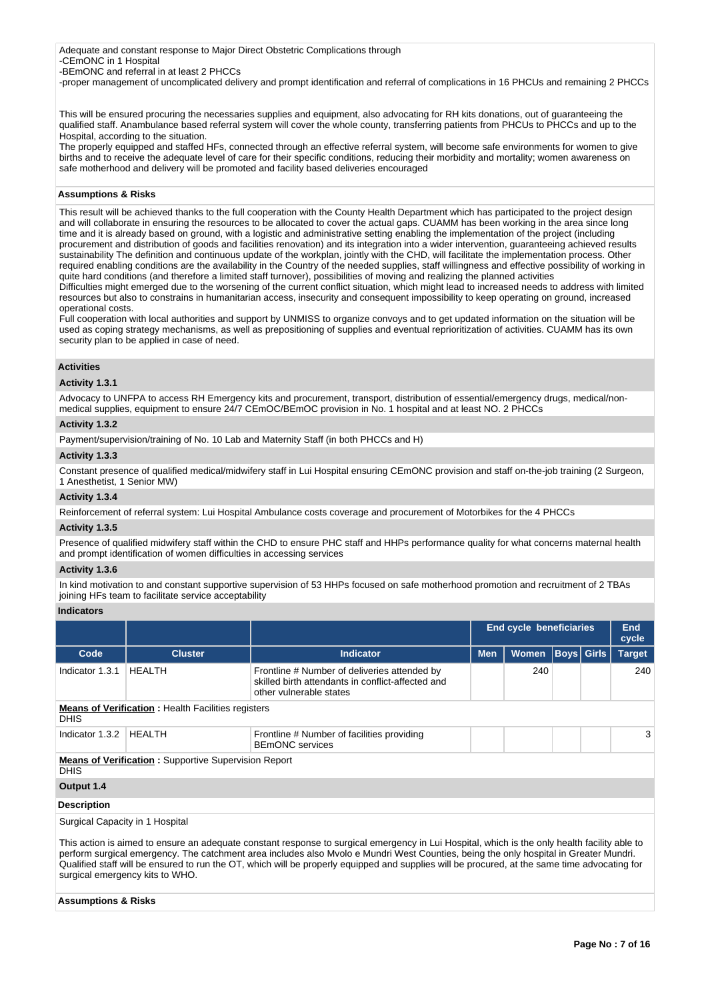Adequate and constant response to Major Direct Obstetric Complications through -CEmONC in 1 Hospital

-BEmONC and referral in at least 2 PHCCs

-proper management of uncomplicated delivery and prompt identification and referral of complications in 16 PHCUs and remaining 2 PHCCs

This will be ensured procuring the necessaries supplies and equipment, also advocating for RH kits donations, out of guaranteeing the qualified staff. Anambulance based referral system will cover the whole county, transferring patients from PHCUs to PHCCs and up to the Hospital, according to the situation.

The properly equipped and staffed HFs, connected through an effective referral system, will become safe environments for women to give births and to receive the adequate level of care for their specific conditions, reducing their morbidity and mortality; women awareness on safe motherhood and delivery will be promoted and facility based deliveries encouraged

## **Assumptions & Risks**

This result will be achieved thanks to the full cooperation with the County Health Department which has participated to the project design and will collaborate in ensuring the resources to be allocated to cover the actual gaps. CUAMM has been working in the area since long time and it is already based on ground, with a logistic and administrative setting enabling the implementation of the project (including procurement and distribution of goods and facilities renovation) and its integration into a wider intervention, guaranteeing achieved results sustainability The definition and continuous update of the workplan, jointly with the CHD, will facilitate the implementation process. Other required enabling conditions are the availability in the Country of the needed supplies, staff willingness and effective possibility of working in quite hard conditions (and therefore a limited staff turnover), possibilities of moving and realizing the planned activities

Difficulties might emerged due to the worsening of the current conflict situation, which might lead to increased needs to address with limited resources but also to constrains in humanitarian access, insecurity and consequent impossibility to keep operating on ground, increased operational costs.

Full cooperation with local authorities and support by UNMISS to organize convoys and to get updated information on the situation will be used as coping strategy mechanisms, as well as prepositioning of supplies and eventual reprioritization of activities. CUAMM has its own security plan to be applied in case of need.

## **Activities**

## **Activity 1.3.1**

Advocacy to UNFPA to access RH Emergency kits and procurement, transport, distribution of essential/emergency drugs, medical/nonmedical supplies, equipment to ensure 24/7 CEmOC/BEmOC provision in No. 1 hospital and at least NO. 2 PHCCs

## **Activity 1.3.2**

Payment/supervision/training of No. 10 Lab and Maternity Staff (in both PHCCs and H)

#### **Activity 1.3.3**

Constant presence of qualified medical/midwifery staff in Lui Hospital ensuring CEmONC provision and staff on-the-job training (2 Surgeon, 1 Anesthetist, 1 Senior MW)

#### **Activity 1.3.4**

Reinforcement of referral system: Lui Hospital Ambulance costs coverage and procurement of Motorbikes for the 4 PHCCs

## **Activity 1.3.5**

Presence of qualified midwifery staff within the CHD to ensure PHC staff and HHPs performance quality for what concerns maternal health and prompt identification of women difficulties in accessing services

#### **Activity 1.3.6**

In kind motivation to and constant supportive supervision of 53 HHPs focused on safe motherhood promotion and recruitment of 2 TBAs joining HFs team to facilitate service acceptability

#### **Indicators**

|                                 |                                                             |                                                                                                                              | End cycle beneficiaries |              |  | End<br>cycle |               |
|---------------------------------|-------------------------------------------------------------|------------------------------------------------------------------------------------------------------------------------------|-------------------------|--------------|--|--------------|---------------|
| Code                            | <b>Cluster</b>                                              | <b>Indicator</b>                                                                                                             | <b>Men</b>              | <b>Women</b> |  | Boys  Girls  | <b>Target</b> |
| Indicator 1.3.1                 | <b>HEALTH</b>                                               | Frontline # Number of deliveries attended by<br>skilled birth attendants in conflict-affected and<br>other vulnerable states |                         | 240          |  |              | 240           |
| <b>DHIS</b>                     | <b>Means of Verification:</b> Health Facilities registers   |                                                                                                                              |                         |              |  |              |               |
| Indicator 1.3.2                 | HEALTH                                                      | Frontline # Number of facilities providing<br><b>BEmONC</b> services                                                         |                         |              |  |              | 3             |
| <b>DHIS</b>                     | <b>Means of Verification:</b> Supportive Supervision Report |                                                                                                                              |                         |              |  |              |               |
| Output 1.4                      |                                                             |                                                                                                                              |                         |              |  |              |               |
| <b>Description</b>              |                                                             |                                                                                                                              |                         |              |  |              |               |
| Surgical Capacity in 1 Hospital |                                                             |                                                                                                                              |                         |              |  |              |               |

This action is aimed to ensure an adequate constant response to surgical emergency in Lui Hospital, which is the only health facility able to perform surgical emergency. The catchment area includes also Mvolo e Mundri West Counties, being the only hospital in Greater Mundri. Qualified staff will be ensured to run the OT, which will be properly equipped and supplies will be procured, at the same time advocating for surgical emergency kits to WHO.

#### **Assumptions & Risks**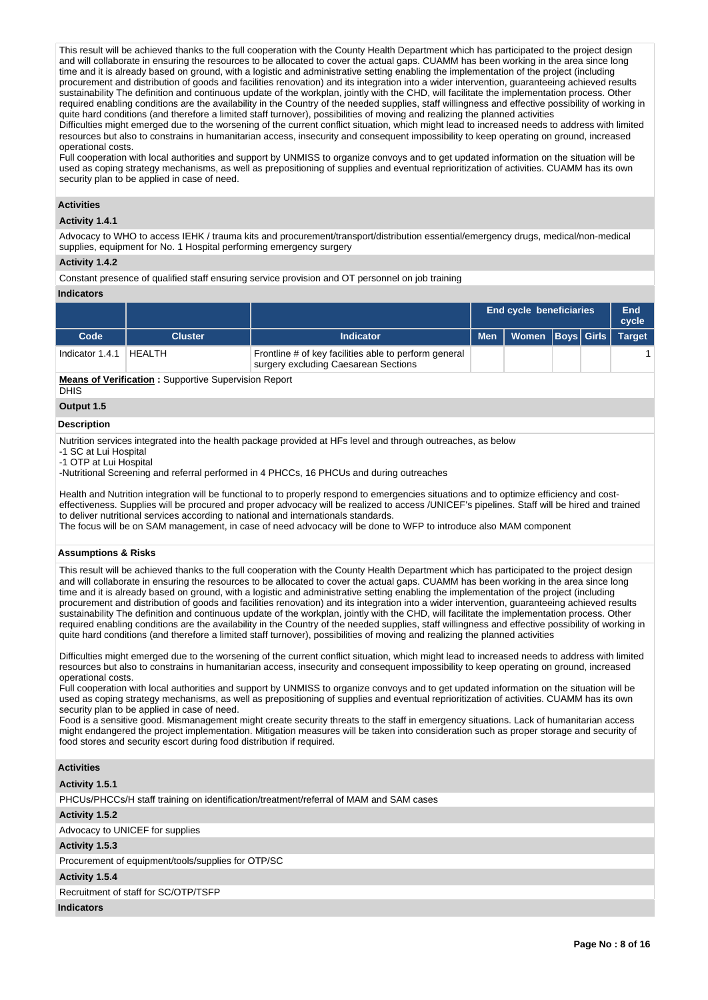This result will be achieved thanks to the full cooperation with the County Health Department which has participated to the project design and will collaborate in ensuring the resources to be allocated to cover the actual gaps. CUAMM has been working in the area since long time and it is already based on ground, with a logistic and administrative setting enabling the implementation of the project (including procurement and distribution of goods and facilities renovation) and its integration into a wider intervention, guaranteeing achieved results sustainability The definition and continuous update of the workplan, jointly with the CHD, will facilitate the implementation process. Other required enabling conditions are the availability in the Country of the needed supplies, staff willingness and effective possibility of working in quite hard conditions (and therefore a limited staff turnover), possibilities of moving and realizing the planned activities Difficulties might emerged due to the worsening of the current conflict situation, which might lead to increased needs to address with limited

resources but also to constrains in humanitarian access, insecurity and consequent impossibility to keep operating on ground, increased operational costs.

Full cooperation with local authorities and support by UNMISS to organize convoys and to get updated information on the situation will be used as coping strategy mechanisms, as well as prepositioning of supplies and eventual reprioritization of activities. CUAMM has its own security plan to be applied in case of need.

## **Activities**

## **Activity 1.4.1**

Advocacy to WHO to access IEHK / trauma kits and procurement/transport/distribution essential/emergency drugs, medical/non-medical supplies, equipment for No. 1 Hospital performing emergency surgery

#### **Activity 1.4.2**

Constant presence of qualified staff ensuring service provision and OT personnel on job training

#### **Indicators**

|                   |                                                             |                                                                                               | <b>End cycle beneficiaries</b> |                  |  |  | End<br>cycle  |  |  |  |
|-------------------|-------------------------------------------------------------|-----------------------------------------------------------------------------------------------|--------------------------------|------------------|--|--|---------------|--|--|--|
| Code              | <b>Cluster</b>                                              | Indicator                                                                                     | <b>Men</b>                     | Women Boys Girls |  |  | <b>Target</b> |  |  |  |
| Indicator $1.4.1$ | HEALTH                                                      | Frontline # of key facilities able to perform general<br>surgery excluding Caesarean Sections |                                |                  |  |  |               |  |  |  |
|                   | <b>Means of Verification:</b> Supportive Supervision Report |                                                                                               |                                |                  |  |  |               |  |  |  |

**Means of Verification :** Supportive Supervision Report **DHIS** 

# **Output 1.5**

#### **Description**

Nutrition services integrated into the health package provided at HFs level and through outreaches, as below

-1 SC at Lui Hospital

-1 OTP at Lui Hospital

-Nutritional Screening and referral performed in 4 PHCCs, 16 PHCUs and during outreaches

Health and Nutrition integration will be functional to to properly respond to emergencies situations and to optimize efficiency and costeffectiveness. Supplies will be procured and proper advocacy will be realized to access /UNICEF's pipelines. Staff will be hired and trained to deliver nutritional services according to national and internationals standards.

The focus will be on SAM management, in case of need advocacy will be done to WFP to introduce also MAM component

#### **Assumptions & Risks**

This result will be achieved thanks to the full cooperation with the County Health Department which has participated to the project design and will collaborate in ensuring the resources to be allocated to cover the actual gaps. CUAMM has been working in the area since long time and it is already based on ground, with a logistic and administrative setting enabling the implementation of the project (including procurement and distribution of goods and facilities renovation) and its integration into a wider intervention, guaranteeing achieved results sustainability The definition and continuous update of the workplan, jointly with the CHD, will facilitate the implementation process. Other required enabling conditions are the availability in the Country of the needed supplies, staff willingness and effective possibility of working in quite hard conditions (and therefore a limited staff turnover), possibilities of moving and realizing the planned activities

Difficulties might emerged due to the worsening of the current conflict situation, which might lead to increased needs to address with limited resources but also to constrains in humanitarian access, insecurity and consequent impossibility to keep operating on ground, increased operational costs.

Full cooperation with local authorities and support by UNMISS to organize convoys and to get updated information on the situation will be used as coping strategy mechanisms, as well as prepositioning of supplies and eventual reprioritization of activities. CUAMM has its own security plan to be applied in case of need.

Food is a sensitive good. Mismanagement might create security threats to the staff in emergency situations. Lack of humanitarian access might endangered the project implementation. Mitigation measures will be taken into consideration such as proper storage and security of food stores and security escort during food distribution if required.

## **Activities**

**Activity 1.5.1** 

PHCUs/PHCCs/H staff training on identification/treatment/referral of MAM and SAM cases

**Activity 1.5.2** 

Advocacy to UNICEF for supplies

#### **Activity 1.5.3**

Procurement of equipment/tools/supplies for OTP/SC

#### **Activity 1.5.4**

Recruitment of staff for SC/OTP/TSFP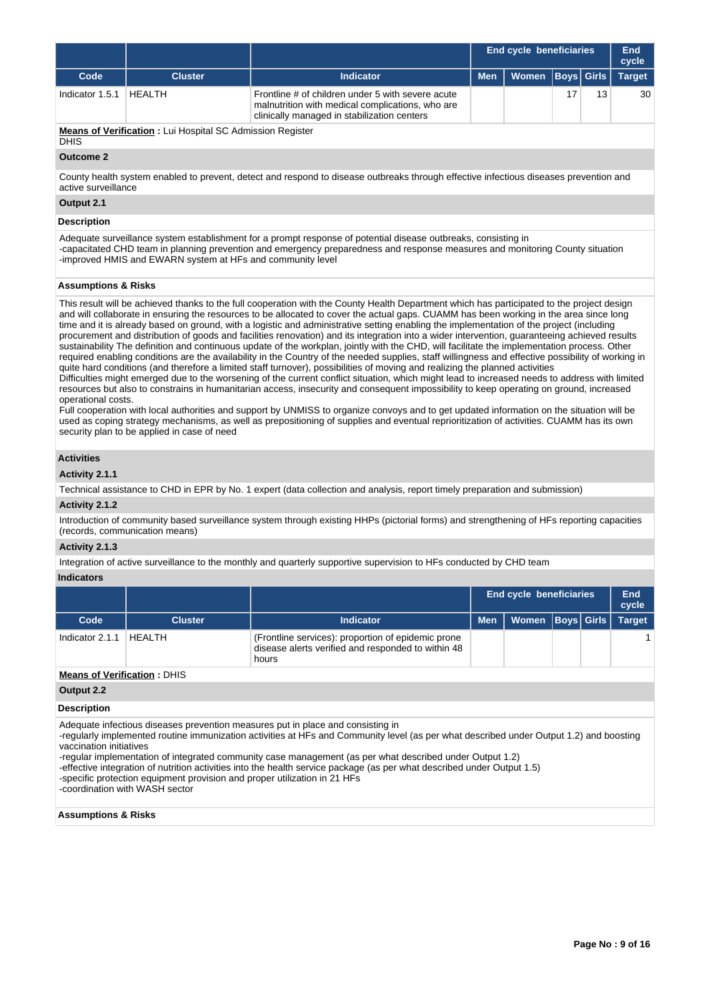|                 |                                                                  |                                                                                                                                                      | <b>End cycle beneficiaries</b> |       |  | End<br>cycle      |               |
|-----------------|------------------------------------------------------------------|------------------------------------------------------------------------------------------------------------------------------------------------------|--------------------------------|-------|--|-------------------|---------------|
| Code            | <b>Cluster</b>                                                   | <b>Indicator</b>                                                                                                                                     | <b>Men</b>                     | Women |  | <b>Boys Girls</b> | <b>Target</b> |
| Indicator 1.5.1 | HEALTH                                                           | Frontline # of children under 5 with severe acute<br>malnutrition with medical complications, who are<br>clinically managed in stabilization centers |                                |       |  | 13                | 30            |
| <b>DHIS</b>     | <b>Means of Verification:</b> Lui Hospital SC Admission Register |                                                                                                                                                      |                                |       |  |                   |               |
| Outcome 2       |                                                                  |                                                                                                                                                      |                                |       |  |                   |               |

#### **Outcome 2**

County health system enabled to prevent, detect and respond to disease outbreaks through effective infectious diseases prevention and active surveillance

## **Output 2.1**

#### **Description**

Adequate surveillance system establishment for a prompt response of potential disease outbreaks, consisting in -capacitated CHD team in planning prevention and emergency preparedness and response measures and monitoring County situation -improved HMIS and EWARN system at HFs and community level

#### **Assumptions & Risks**

This result will be achieved thanks to the full cooperation with the County Health Department which has participated to the project design and will collaborate in ensuring the resources to be allocated to cover the actual gaps. CUAMM has been working in the area since long time and it is already based on ground, with a logistic and administrative setting enabling the implementation of the project (including procurement and distribution of goods and facilities renovation) and its integration into a wider intervention, guaranteeing achieved results sustainability The definition and continuous update of the workplan, jointly with the CHD, will facilitate the implementation process. Other required enabling conditions are the availability in the Country of the needed supplies, staff willingness and effective possibility of working in quite hard conditions (and therefore a limited staff turnover), possibilities of moving and realizing the planned activities Difficulties might emerged due to the worsening of the current conflict situation, which might lead to increased needs to address with limited resources but also to constrains in humanitarian access, insecurity and consequent impossibility to keep operating on ground, increased operational costs.

Full cooperation with local authorities and support by UNMISS to organize convoys and to get updated information on the situation will be used as coping strategy mechanisms, as well as prepositioning of supplies and eventual reprioritization of activities. CUAMM has its own security plan to be applied in case of need

#### **Activities**

#### **Activity 2.1.1**

Technical assistance to CHD in EPR by No. 1 expert (data collection and analysis, report timely preparation and submission)

#### **Activity 2.1.2**

Introduction of community based surveillance system through existing HHPs (pictorial forms) and strengthening of HFs reporting capacities (records, communication means)

## **Activity 2.1.3**

Integration of active surveillance to the monthly and quarterly supportive supervision to HFs conducted by CHD team

#### **Indicators**

|                                    |                |                                                                                                                   | End cycle beneficiaries |                      |  | End<br>cycle |               |
|------------------------------------|----------------|-------------------------------------------------------------------------------------------------------------------|-------------------------|----------------------|--|--------------|---------------|
| Code                               | <b>Cluster</b> | <b>Indicator</b>                                                                                                  | <b>Men</b>              | Women   Boys   Girls |  |              | <b>Target</b> |
| Indicator 2.1.1                    | HFAI TH        | (Frontline services): proportion of epidemic prone<br>disease alerts verified and responded to within 48<br>hours |                         |                      |  |              |               |
| <b>Means of Verification: DHIS</b> |                |                                                                                                                   |                         |                      |  |              |               |
| $\bigcap_{i=1}^{n}$                |                |                                                                                                                   |                         |                      |  |              |               |

#### **Output 2.2**

#### **Description**

Adequate infectious diseases prevention measures put in place and consisting in

-regularly implemented routine immunization activities at HFs and Community level (as per what described under Output 1.2) and boosting vaccination initiatives

-regular implementation of integrated community case management (as per what described under Output 1.2)

-effective integration of nutrition activities into the health service package (as per what described under Output 1.5)

-specific protection equipment provision and proper utilization in 21 HFs

-coordination with WASH sector

#### **Assumptions & Risks**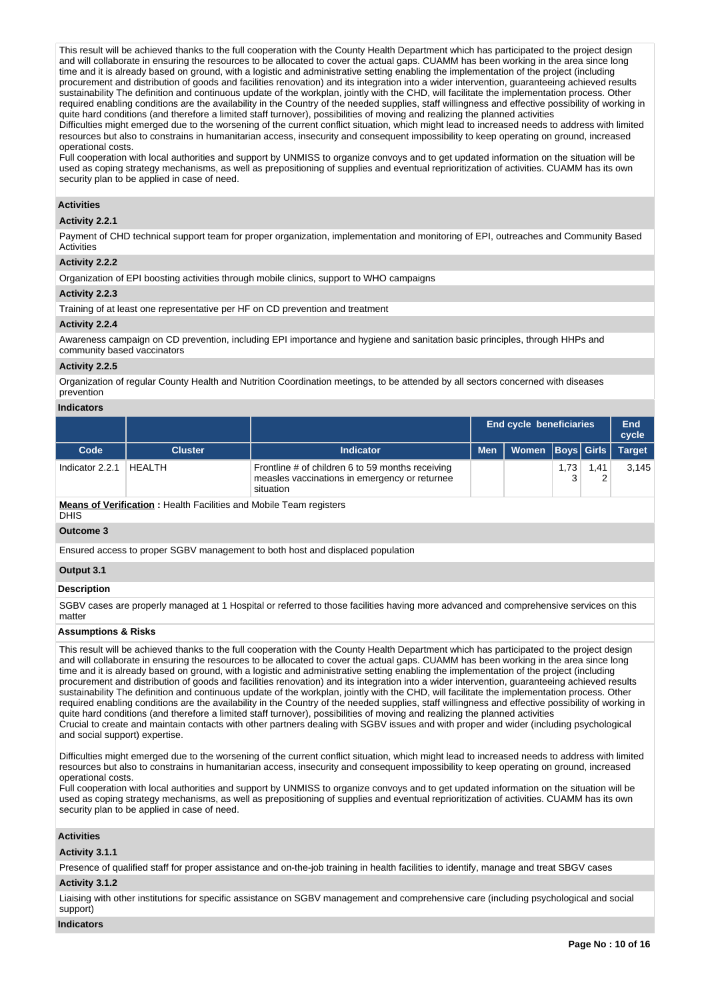This result will be achieved thanks to the full cooperation with the County Health Department which has participated to the project design and will collaborate in ensuring the resources to be allocated to cover the actual gaps. CUAMM has been working in the area since long time and it is already based on ground, with a logistic and administrative setting enabling the implementation of the project (including procurement and distribution of goods and facilities renovation) and its integration into a wider intervention, guaranteeing achieved results sustainability The definition and continuous update of the workplan, jointly with the CHD, will facilitate the implementation process. Other required enabling conditions are the availability in the Country of the needed supplies, staff willingness and effective possibility of working in quite hard conditions (and therefore a limited staff turnover), possibilities of moving and realizing the planned activities Difficulties might emerged due to the worsening of the current conflict situation, which might lead to increased needs to address with limited

resources but also to constrains in humanitarian access, insecurity and consequent impossibility to keep operating on ground, increased operational costs.

Full cooperation with local authorities and support by UNMISS to organize convoys and to get updated information on the situation will be used as coping strategy mechanisms, as well as prepositioning of supplies and eventual reprioritization of activities. CUAMM has its own security plan to be applied in case of need.

## **Activities**

#### **Activity 2.2.1**

Payment of CHD technical support team for proper organization, implementation and monitoring of EPI, outreaches and Community Based **Activities** 

#### **Activity 2.2.2**

Organization of EPI boosting activities through mobile clinics, support to WHO campaigns

## **Activity 2.2.3**

Training of at least one representative per HF on CD prevention and treatment

#### **Activity 2.2.4**

Awareness campaign on CD prevention, including EPI importance and hygiene and sanitation basic principles, through HHPs and community based vaccinators

#### **Activity 2.2.5**

Organization of regular County Health and Nutrition Coordination meetings, to be attended by all sectors concerned with diseases prevention

#### **Indicators**

|                 |                |                                                                                                                |            | <b>End cycle beneficiaries</b> |      |           | End<br>cycle  |
|-----------------|----------------|----------------------------------------------------------------------------------------------------------------|------------|--------------------------------|------|-----------|---------------|
| Code            | <b>Cluster</b> | <b>Indicator</b>                                                                                               | <b>Men</b> | Women   Boys   Girls           |      |           | <b>Target</b> |
| Indicator 2.2.1 | HEALTH         | Frontline # of children 6 to 59 months receiving<br>measles vaccinations in emergency or returnee<br>situation |            |                                | 1,73 | 1.41<br>ے | 3.145         |

**Means of Verification :** Health Facilities and Mobile Team registers DHIS

#### **Outcome 3**

Ensured access to proper SGBV management to both host and displaced population

#### **Output 3.1**

#### **Description**

SGBV cases are properly managed at 1 Hospital or referred to those facilities having more advanced and comprehensive services on this matter

#### **Assumptions & Risks**

This result will be achieved thanks to the full cooperation with the County Health Department which has participated to the project design and will collaborate in ensuring the resources to be allocated to cover the actual gaps. CUAMM has been working in the area since long time and it is already based on ground, with a logistic and administrative setting enabling the implementation of the project (including procurement and distribution of goods and facilities renovation) and its integration into a wider intervention, guaranteeing achieved results sustainability The definition and continuous update of the workplan, jointly with the CHD, will facilitate the implementation process. Other required enabling conditions are the availability in the Country of the needed supplies, staff willingness and effective possibility of working in quite hard conditions (and therefore a limited staff turnover), possibilities of moving and realizing the planned activities Crucial to create and maintain contacts with other partners dealing with SGBV issues and with proper and wider (including psychological and social support) expertise.

Difficulties might emerged due to the worsening of the current conflict situation, which might lead to increased needs to address with limited resources but also to constrains in humanitarian access, insecurity and consequent impossibility to keep operating on ground, increased operational costs.

Full cooperation with local authorities and support by UNMISS to organize convoys and to get updated information on the situation will be used as coping strategy mechanisms, as well as prepositioning of supplies and eventual reprioritization of activities. CUAMM has its own security plan to be applied in case of need.

## **Activities**

## **Activity 3.1.1**

Presence of qualified staff for proper assistance and on-the-job training in health facilities to identify, manage and treat SBGV cases

## **Activity 3.1.2**

Liaising with other institutions for specific assistance on SGBV management and comprehensive care (including psychological and social support)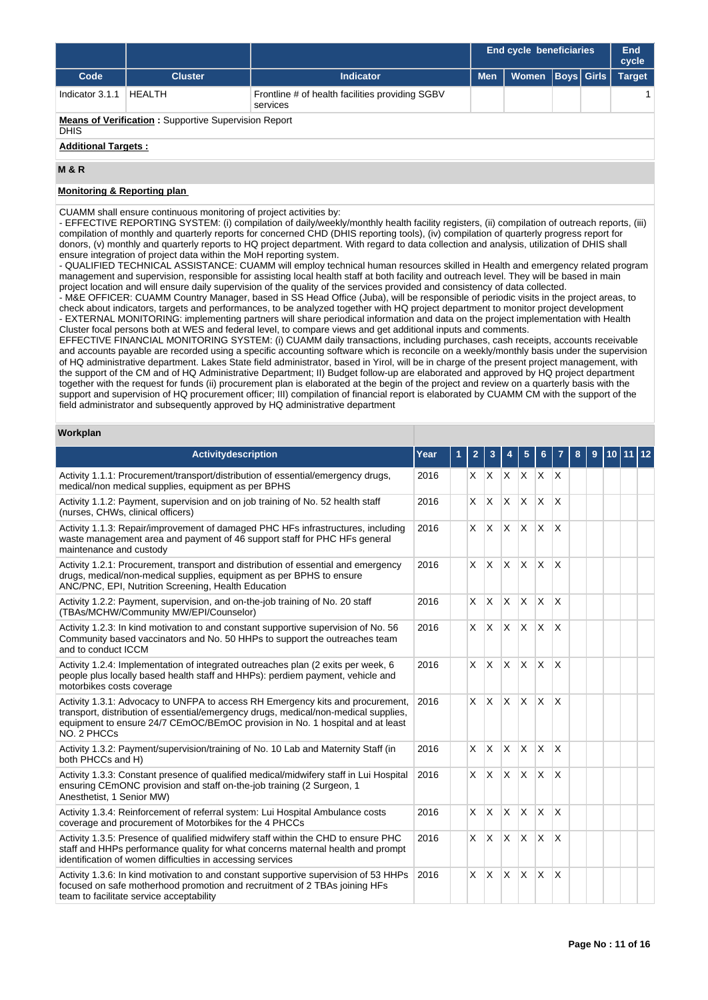|                            |                                                             |                                                             |            | <b>End cycle beneficiaries</b> |                   |  | End<br>cycle  |  |  |  |  |
|----------------------------|-------------------------------------------------------------|-------------------------------------------------------------|------------|--------------------------------|-------------------|--|---------------|--|--|--|--|
| Code                       | <b>Cluster</b>                                              | <b>Indicator</b>                                            | <b>Men</b> | Women                          | <b>Boys</b> Girls |  | <b>Target</b> |  |  |  |  |
| Indicator 3.1.1            | <b>HEALTH</b>                                               | Frontline # of health facilities providing SGBV<br>services |            |                                |                   |  |               |  |  |  |  |
| <b>DHIS</b>                | <b>Means of Verification:</b> Supportive Supervision Report |                                                             |            |                                |                   |  |               |  |  |  |  |
| <b>Additional Targets:</b> |                                                             |                                                             |            |                                |                   |  |               |  |  |  |  |
| <b>M&amp;R</b>             |                                                             |                                                             |            |                                |                   |  |               |  |  |  |  |

## **Monitoring & Reporting plan**

CUAMM shall ensure continuous monitoring of project activities by:

- EFFECTIVE REPORTING SYSTEM: (i) compilation of daily/weekly/monthly health facility registers, (ii) compilation of outreach reports, (iii) compilation of monthly and quarterly reports for concerned CHD (DHIS reporting tools), (iv) compilation of quarterly progress report for donors, (v) monthly and quarterly reports to HQ project department. With regard to data collection and analysis, utilization of DHIS shall ensure integration of project data within the MoH reporting system.

- QUALIFIED TECHNICAL ASSISTANCE: CUAMM will employ technical human resources skilled in Health and emergency related program management and supervision, responsible for assisting local health staff at both facility and outreach level. They will be based in main project location and will ensure daily supervision of the quality of the services provided and consistency of data collected.

- M&E OFFICER: CUAMM Country Manager, based in SS Head Office (Juba), will be responsible of periodic visits in the project areas, to check about indicators, targets and performances, to be analyzed together with HQ project department to monitor project development - EXTERNAL MONITORING: implementing partners will share periodical information and data on the project implementation with Health Cluster focal persons both at WES and federal level, to compare views and get additional inputs and comments.

EFFECTIVE FINANCIAL MONITORING SYSTEM: (i) CUAMM daily transactions, including purchases, cash receipts, accounts receivable and accounts payable are recorded using a specific accounting software which is reconcile on a weekly/monthly basis under the supervision of HQ administrative department. Lakes State field administrator, based in Yirol, will be in charge of the present project management, with the support of the CM and of HQ Administrative Department; II) Budget follow-up are elaborated and approved by HQ project department together with the request for funds (ii) procurement plan is elaborated at the begin of the project and review on a quarterly basis with the support and supervision of HQ procurement officer; III) compilation of financial report is elaborated by CUAMM CM with the support of the field administrator and subsequently approved by HQ administrative department

#### **Workplan**

| <b>Activitydescription</b>                                                                                                                                                                                                                                            | Year | 1 | $\overline{2}$ | 3            | 4            | 5            | 6            |                         | 8 | 9 | 10 11 12 |  |
|-----------------------------------------------------------------------------------------------------------------------------------------------------------------------------------------------------------------------------------------------------------------------|------|---|----------------|--------------|--------------|--------------|--------------|-------------------------|---|---|----------|--|
| Activity 1.1.1: Procurement/transport/distribution of essential/emergency drugs,<br>medical/non medical supplies, equipment as per BPHS                                                                                                                               | 2016 |   |                |              | $X$ $X$ $X$  | <b>X</b>     | $X$ $X$      |                         |   |   |          |  |
| Activity 1.1.2: Payment, supervision and on job training of No. 52 health staff<br>(nurses, CHWs, clinical officers)                                                                                                                                                  | 2016 |   | X.             | <b>X</b>     | ΙX.          | <b>X</b>     | $\mathsf{x}$ | X                       |   |   |          |  |
| Activity 1.1.3: Repair/improvement of damaged PHC HFs infrastructures, including<br>waste management area and payment of 46 support staff for PHC HFs general<br>maintenance and custody                                                                              | 2016 |   | X.             | <b>X</b>     | ΙX.          | $\mathsf{x}$ | X            | X                       |   |   |          |  |
| Activity 1.2.1: Procurement, transport and distribution of essential and emergency<br>drugs, medical/non-medical supplies, equipment as per BPHS to ensure<br>ANC/PNC, EPI, Nutrition Screening, Health Education                                                     | 2016 |   | X.             | <b>X</b>     | ΙX.          | $\mathsf{x}$ | X            | $\times$                |   |   |          |  |
| Activity 1.2.2: Payment, supervision, and on-the-job training of No. 20 staff<br>(TBAs/MCHW/Community MW/EPI/Counselor)                                                                                                                                               | 2016 |   | X              | <b>X</b>     | $\mathsf{X}$ | $\mathsf{x}$ | X            | X                       |   |   |          |  |
| Activity 1.2.3: In kind motivation to and constant supportive supervision of No. 56<br>Community based vaccinators and No. 50 HHPs to support the outreaches team<br>and to conduct ICCM                                                                              | 2016 |   | X.             | <b>X</b>     | ΙX.          | X            | X            | X                       |   |   |          |  |
| Activity 1.2.4: Implementation of integrated outreaches plan (2 exits per week, 6<br>people plus locally based health staff and HHPs): perdiem payment, vehicle and<br>motorbikes costs coverage                                                                      | 2016 |   | X.             | X            | <b>X</b>     | X            | X            | X                       |   |   |          |  |
| Activity 1.3.1: Advocacy to UNFPA to access RH Emergency kits and procurement,<br>transport, distribution of essential/emergency drugs, medical/non-medical supplies,<br>equipment to ensure 24/7 CEmOC/BEmOC provision in No. 1 hospital and at least<br>NO. 2 PHCCs | 2016 |   | X.             | <b>X</b>     | ΙX.          | $\mathsf{x}$ | $\mathsf{x}$ | X                       |   |   |          |  |
| Activity 1.3.2: Payment/supervision/training of No. 10 Lab and Maternity Staff (in<br>both PHCCs and H)                                                                                                                                                               | 2016 |   | X              | $\mathsf{X}$ | X.           | X            | X            | $\times$                |   |   |          |  |
| Activity 1.3.3: Constant presence of qualified medical/midwifery staff in Lui Hospital<br>ensuring CEmONC provision and staff on-the-job training (2 Surgeon, 1<br>Anesthetist, 1 Senior MW)                                                                          | 2016 |   | X              | $\mathsf{X}$ | IX.          | $\mathsf{x}$ | $\times$     | $\overline{\mathsf{x}}$ |   |   |          |  |
| Activity 1.3.4: Reinforcement of referral system: Lui Hospital Ambulance costs<br>coverage and procurement of Motorbikes for the 4 PHCCs                                                                                                                              | 2016 |   | $\times$       | <b>X</b>     | $\mathsf{X}$ | $\mathsf{x}$ | $\mathsf{x}$ | X                       |   |   |          |  |
| Activity 1.3.5: Presence of qualified midwifery staff within the CHD to ensure PHC<br>staff and HHPs performance quality for what concerns maternal health and prompt<br>identification of women difficulties in accessing services                                   | 2016 |   | X.             | <b>X</b>     | <b>X</b>     | $\mathsf{x}$ | X            | X                       |   |   |          |  |
| Activity 1.3.6: In kind motivation to and constant supportive supervision of 53 HHPs<br>focused on safe motherhood promotion and recruitment of 2 TBAs joining HFs<br>team to facilitate service acceptability                                                        | 2016 |   | X              | <b>X</b>     | ΙX.          | X            | X            | X                       |   |   |          |  |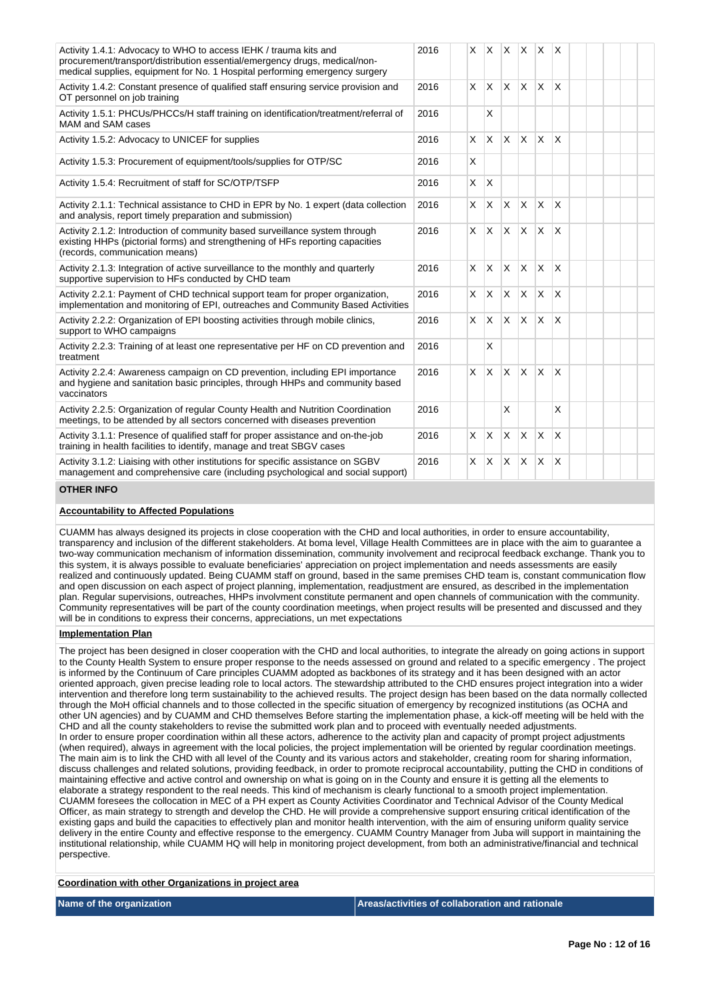| Activity 1.4.1: Advocacy to WHO to access IEHK / trauma kits and<br>procurement/transport/distribution essential/emergency drugs, medical/non-<br>medical supplies, equipment for No. 1 Hospital performing emergency surgery | 2016 |          |              |              |              | $x \times x \times x$ |                         |  |  |  |
|-------------------------------------------------------------------------------------------------------------------------------------------------------------------------------------------------------------------------------|------|----------|--------------|--------------|--------------|-----------------------|-------------------------|--|--|--|
| Activity 1.4.2: Constant presence of qualified staff ensuring service provision and<br>OT personnel on job training                                                                                                           | 2016 |          | $x \times$   | $\mathsf{X}$ | ΙX.          | $\mathsf{X}$          | $\mathsf{X}$            |  |  |  |
| Activity 1.5.1: PHCUs/PHCCs/H staff training on identification/treatment/referral of<br>MAM and SAM cases                                                                                                                     | 2016 |          | X            |              |              |                       |                         |  |  |  |
| Activity 1.5.2: Advocacy to UNICEF for supplies                                                                                                                                                                               | 2016 | X.       | $\mathsf{x}$ | <b>X</b>     | X            | ΙX.                   | $\mathsf{x}$            |  |  |  |
| Activity 1.5.3: Procurement of equipment/tools/supplies for OTP/SC                                                                                                                                                            | 2016 | X        |              |              |              |                       |                         |  |  |  |
| Activity 1.5.4: Recruitment of staff for SC/OTP/TSFP                                                                                                                                                                          | 2016 | X        | X            |              |              |                       |                         |  |  |  |
| Activity 2.1.1: Technical assistance to CHD in EPR by No. 1 expert (data collection<br>and analysis, report timely preparation and submission)                                                                                | 2016 | X        | X            | <b>X</b>     | <b>X</b>     | ΙX.                   | $\mathsf{X}$            |  |  |  |
| Activity 2.1.2: Introduction of community based surveillance system through<br>existing HHPs (pictorial forms) and strengthening of HFs reporting capacities<br>(records, communication means)                                | 2016 | X.       | <b>X</b>     | $\mathsf{X}$ | ΙX.          | ΙX.                   | X                       |  |  |  |
| Activity 2.1.3: Integration of active surveillance to the monthly and quarterly<br>supportive supervision to HFs conducted by CHD team                                                                                        | 2016 | $\times$ | X.           | <b>X</b>     | $\mathsf{X}$ | X.                    | X                       |  |  |  |
| Activity 2.2.1: Payment of CHD technical support team for proper organization,<br>implementation and monitoring of EPI, outreaches and Community Based Activities                                                             | 2016 | $\times$ | <b>X</b>     | X            | <sup>X</sup> | ΙX.                   | <sup>X</sup>            |  |  |  |
| Activity 2.2.2: Organization of EPI boosting activities through mobile clinics,<br>support to WHO campaigns                                                                                                                   | 2016 |          | $x \mid x$   | $\mathsf{x}$ | <b>X</b>     | ΙX.                   | $\overline{\mathsf{x}}$ |  |  |  |
| Activity 2.2.3: Training of at least one representative per HF on CD prevention and<br>treatment                                                                                                                              | 2016 |          | X            |              |              |                       |                         |  |  |  |
| Activity 2.2.4: Awareness campaign on CD prevention, including EPI importance<br>and hygiene and sanitation basic principles, through HHPs and community based<br>vaccinators                                                 | 2016 | X        | $\times$     | X.           | <sup>X</sup> | <b>X</b>              | X                       |  |  |  |
| Activity 2.2.5: Organization of regular County Health and Nutrition Coordination<br>meetings, to be attended by all sectors concerned with diseases prevention                                                                | 2016 |          |              | X            |              |                       | X                       |  |  |  |
| Activity 3.1.1: Presence of qualified staff for proper assistance and on-the-job<br>training in health facilities to identify, manage and treat SBGV cases                                                                    | 2016 | $\times$ | ΙX.          | $\mathsf{X}$ | ΙX.          | $\mathsf{X}$          | $\overline{\mathsf{x}}$ |  |  |  |
| Activity 3.1.2: Liaising with other institutions for specific assistance on SGBV<br>management and comprehensive care (including psychological and social support)                                                            | 2016 | $\times$ | $\times$     | <b>X</b>     | X            | X.                    | X                       |  |  |  |

#### **OTHER INFO**

## **Accountability to Affected Populations**

CUAMM has always designed its projects in close cooperation with the CHD and local authorities, in order to ensure accountability, transparency and inclusion of the different stakeholders. At boma level, Village Health Committees are in place with the aim to guarantee a two-way communication mechanism of information dissemination, community involvement and reciprocal feedback exchange. Thank you to this system, it is always possible to evaluate beneficiaries' appreciation on project implementation and needs assessments are easily realized and continuously updated. Being CUAMM staff on ground, based in the same premises CHD team is, constant communication flow and open discussion on each aspect of project planning, implementation, readjustment are ensured, as described in the implementation plan. Regular supervisions, outreaches, HHPs involvment constitute permanent and open channels of communication with the community. Community representatives will be part of the county coordination meetings, when project results will be presented and discussed and they will be in conditions to express their concerns, appreciations, un met expectations

#### **Implementation Plan**

The project has been designed in closer cooperation with the CHD and local authorities, to integrate the already on going actions in support to the County Health System to ensure proper response to the needs assessed on ground and related to a specific emergency . The project is informed by the Continuum of Care principles CUAMM adopted as backbones of its strategy and it has been designed with an actor oriented approach, given precise leading role to local actors. The stewardship attributed to the CHD ensures project integration into a wider intervention and therefore long term sustainability to the achieved results. The project design has been based on the data normally collected through the MoH official channels and to those collected in the specific situation of emergency by recognized institutions (as OCHA and other UN agencies) and by CUAMM and CHD themselves Before starting the implementation phase, a kick-off meeting will be held with the CHD and all the county stakeholders to revise the submitted work plan and to proceed with eventually needed adjustments. In order to ensure proper coordination within all these actors, adherence to the activity plan and capacity of prompt project adjustments (when required), always in agreement with the local policies, the project implementation will be oriented by regular coordination meetings. The main aim is to link the CHD with all level of the County and its various actors and stakeholder, creating room for sharing information, discuss challenges and related solutions, providing feedback, in order to promote reciprocal accountability, putting the CHD in conditions of maintaining effective and active control and ownership on what is going on in the County and ensure it is getting all the elements to elaborate a strategy respondent to the real needs. This kind of mechanism is clearly functional to a smooth project implementation. CUAMM foresees the collocation in MEC of a PH expert as County Activities Coordinator and Technical Advisor of the County Medical Officer, as main strategy to strength and develop the CHD. He will provide a comprehensive support ensuring critical identification of the existing gaps and build the capacities to effectively plan and monitor health intervention, with the aim of ensuring uniform quality service delivery in the entire County and effective response to the emergency. CUAMM Country Manager from Juba will support in maintaining the institutional relationship, while CUAMM HQ will help in monitoring project development, from both an administrative/financial and technical perspective.

#### **Coordination with other Organizations in project area**

## **Name of the organization Areas/activities of collaboration and rationale**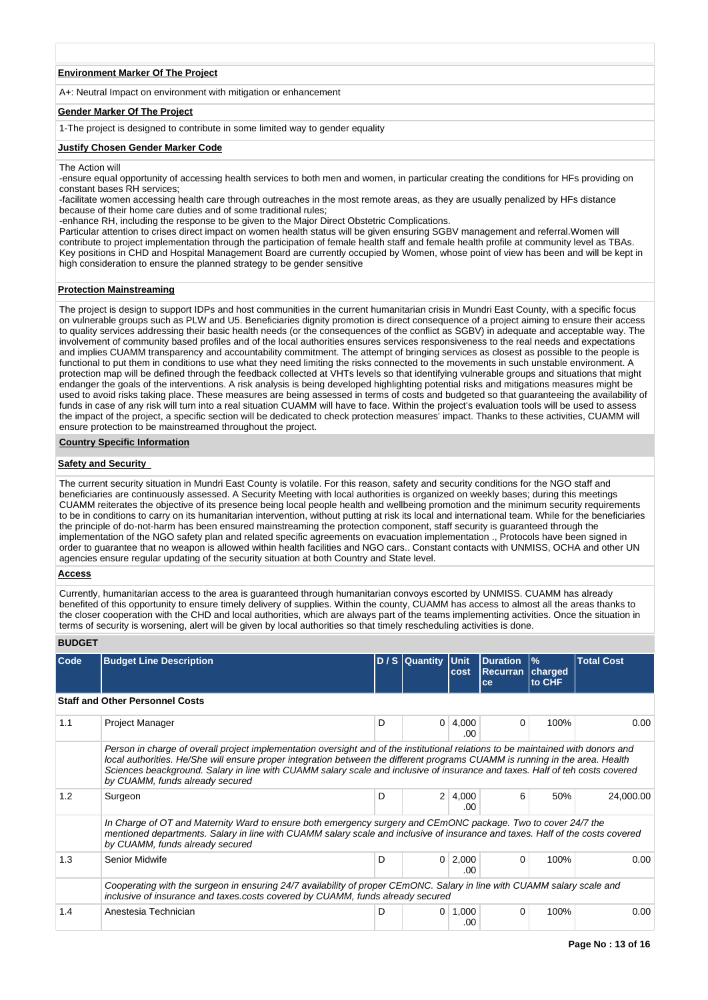#### **Environment Marker Of The Project**

A+: Neutral Impact on environment with mitigation or enhancement

## **Gender Marker Of The Project**

1-The project is designed to contribute in some limited way to gender equality

#### **Justify Chosen Gender Marker Code**

The Action will

-ensure equal opportunity of accessing health services to both men and women, in particular creating the conditions for HFs providing on constant bases RH services;

-facilitate women accessing health care through outreaches in the most remote areas, as they are usually penalized by HFs distance because of their home care duties and of some traditional rules;

-enhance RH, including the response to be given to the Major Direct Obstetric Complications.

Particular attention to crises direct impact on women health status will be given ensuring SGBV management and referral.Women will contribute to project implementation through the participation of female health staff and female health profile at community level as TBAs. Key positions in CHD and Hospital Management Board are currently occupied by Women, whose point of view has been and will be kept in high consideration to ensure the planned strategy to be gender sensitive

#### **Protection Mainstreaming**

The project is design to support IDPs and host communities in the current humanitarian crisis in Mundri East County, with a specific focus on vulnerable groups such as PLW and U5. Beneficiaries dignity promotion is direct consequence of a project aiming to ensure their access to quality services addressing their basic health needs (or the consequences of the conflict as SGBV) in adequate and acceptable way. The involvement of community based profiles and of the local authorities ensures services responsiveness to the real needs and expectations and implies CUAMM transparency and accountability commitment. The attempt of bringing services as closest as possible to the people is functional to put them in conditions to use what they need limiting the risks connected to the movements in such unstable environment. A protection map will be defined through the feedback collected at VHTs levels so that identifying vulnerable groups and situations that might endanger the goals of the interventions. A risk analysis is being developed highlighting potential risks and mitigations measures might be used to avoid risks taking place. These measures are being assessed in terms of costs and budgeted so that guaranteeing the availability of funds in case of any risk will turn into a real situation CUAMM will have to face. Within the project's evaluation tools will be used to assess the impact of the project, a specific section will be dedicated to check protection measures' impact. Thanks to these activities, CUAMM will ensure protection to be mainstreamed throughout the project.

#### **Country Specific Information**

## **Safety and Security**

The current security situation in Mundri East County is volatile. For this reason, safety and security conditions for the NGO staff and beneficiaries are continuously assessed. A Security Meeting with local authorities is organized on weekly bases; during this meetings CUAMM reiterates the objective of its presence being local people health and wellbeing promotion and the minimum security requirements to be in conditions to carry on its humanitarian intervention, without putting at risk its local and international team. While for the beneficiaries the principle of do-not-harm has been ensured mainstreaming the protection component, staff security is guaranteed through the implementation of the NGO safety plan and related specific agreements on evacuation implementation ., Protocols have been signed in order to guarantee that no weapon is allowed within health facilities and NGO cars.. Constant contacts with UNMISS, OCHA and other UN agencies ensure regular updating of the security situation at both Country and State level.

#### **Access**

Currently, humanitarian access to the area is guaranteed through humanitarian convoys escorted by UNMISS. CUAMM has already benefited of this opportunity to ensure timely delivery of supplies. Within the county, CUAMM has access to almost all the areas thanks to the closer cooperation with the CHD and local authorities, which are always part of the teams implementing activities. Once the situation in terms of security is worsening, alert will be given by local authorities so that timely rescheduling activities is done.

# **BUDGET**

| Code | <b>Budget Line Description</b>                                                                                                                                                                                                                                                                                                                                                                                                      |   | D / S Quantity | Unit<br>cost | <b>Duration</b><br><b>Recurran</b><br>ce | $\frac{9}{6}$<br>charged<br>to CHF | <b>Total Cost</b> |
|------|-------------------------------------------------------------------------------------------------------------------------------------------------------------------------------------------------------------------------------------------------------------------------------------------------------------------------------------------------------------------------------------------------------------------------------------|---|----------------|--------------|------------------------------------------|------------------------------------|-------------------|
|      | <b>Staff and Other Personnel Costs</b>                                                                                                                                                                                                                                                                                                                                                                                              |   |                |              |                                          |                                    |                   |
| 1.1  | Project Manager                                                                                                                                                                                                                                                                                                                                                                                                                     | D | $\mathbf{0}$   | 4,000<br>-00 | $\Omega$                                 | 100%                               | 0.00              |
|      | Person in charge of overall project implementation oversight and of the institutional relations to be maintained with donors and<br>local authorities. He/She will ensure proper integration between the different programs CUAMM is running in the area. Health<br>Sciences beackground. Salary in line with CUAMM salary scale and inclusive of insurance and taxes. Half of teh costs covered<br>by CUAMM, funds already secured |   |                |              |                                          |                                    |                   |
| 1.2  | Surgeon                                                                                                                                                                                                                                                                                                                                                                                                                             | D | 2 <sup>1</sup> | 4,000<br>.00 | 6                                        | 50%                                | 24,000.00         |
|      | In Charge of OT and Maternity Ward to ensure both emergency surgery and CEmONC package. Two to cover 24/7 the<br>mentioned departments. Salary in line with CUAMM salary scale and inclusive of insurance and taxes. Half of the costs covered<br>by CUAMM, funds already secured                                                                                                                                                   |   |                |              |                                          |                                    |                   |
| 1.3  | <b>Senior Midwife</b>                                                                                                                                                                                                                                                                                                                                                                                                               | D | $\overline{0}$ | 2,000<br>-00 | 0                                        | 100%                               | 0.00              |
|      | Cooperating with the surgeon in ensuring 24/7 availability of proper CEmONC. Salary in line with CUAMM salary scale and<br>inclusive of insurance and taxes.costs covered by CUAMM, funds already secured                                                                                                                                                                                                                           |   |                |              |                                          |                                    |                   |
| 1.4  | Anestesia Technician                                                                                                                                                                                                                                                                                                                                                                                                                | D | $\overline{0}$ | 1,000<br>.00 | $\Omega$                                 | 100%                               | 0.00              |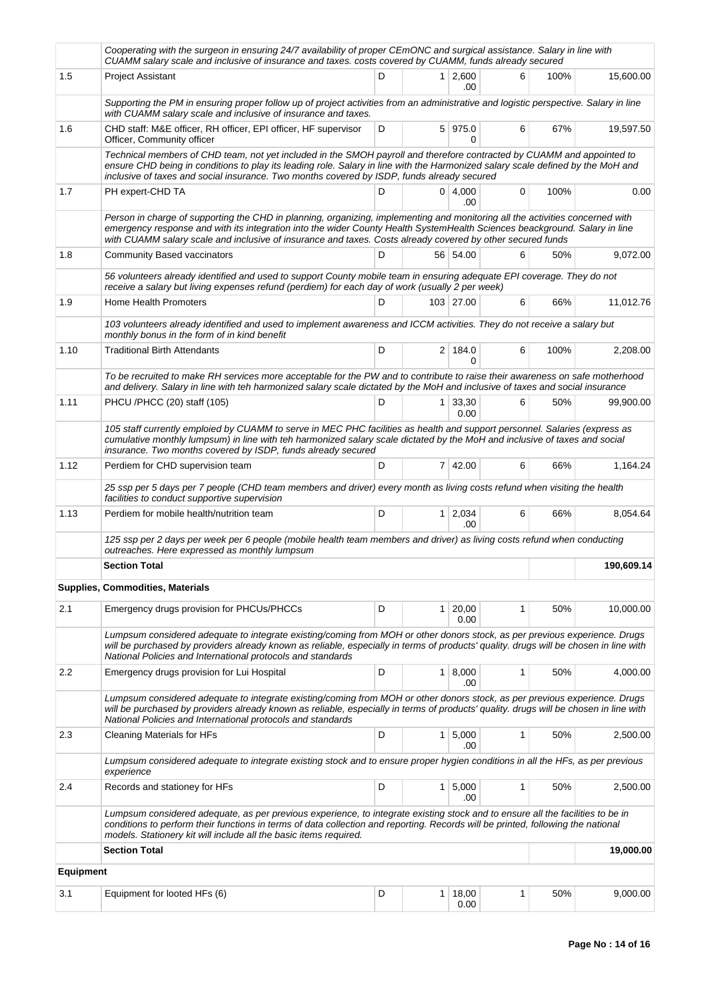|                  | Cooperating with the surgeon in ensuring 24/7 availability of proper CEmONC and surgical assistance. Salary in line with<br>CUAMM salary scale and inclusive of insurance and taxes. costs covered by CUAMM, funds already secured                                                                                                                                        |   |                |                        |              |      |            |
|------------------|---------------------------------------------------------------------------------------------------------------------------------------------------------------------------------------------------------------------------------------------------------------------------------------------------------------------------------------------------------------------------|---|----------------|------------------------|--------------|------|------------|
| 1.5              | <b>Project Assistant</b>                                                                                                                                                                                                                                                                                                                                                  | D |                | $1 \mid 2,600$<br>.00  | 6            | 100% | 15,600.00  |
|                  | Supporting the PM in ensuring proper follow up of project activities from an administrative and logistic perspective. Salary in line<br>with CUAMM salary scale and inclusive of insurance and taxes.                                                                                                                                                                     |   |                |                        |              |      |            |
| 1.6              | CHD staff: M&E officer, RH officer, EPI officer, HF supervisor<br>Officer, Community officer                                                                                                                                                                                                                                                                              | D |                | 5 975.0<br>0           | 6            | 67%  | 19,597.50  |
|                  | Technical members of CHD team, not yet included in the SMOH payroll and therefore contracted by CUAMM and appointed to<br>ensure CHD being in conditions to play its leading role. Salary in line with the Harmonized salary scale defined by the MoH and<br>inclusive of taxes and social insurance. Two months covered by ISDP, funds already secured                   |   |                |                        |              |      |            |
| 1.7              | PH expert-CHD TA                                                                                                                                                                                                                                                                                                                                                          | D |                | 0   4,000<br>.00       | 0            | 100% | 0.00       |
|                  | Person in charge of supporting the CHD in planning, organizing, implementing and monitoring all the activities concerned with<br>emergency response and with its integration into the wider County Health SystemHealth Sciences beackground. Salary in line<br>with CUAMM salary scale and inclusive of insurance and taxes. Costs already covered by other secured funds |   |                |                        |              |      |            |
| 1.8              | <b>Community Based vaccinators</b>                                                                                                                                                                                                                                                                                                                                        | D |                | 56 54.00               | 6            | 50%  | 9,072.00   |
|                  | 56 volunteers already identified and used to support County mobile team in ensuring adequate EPI coverage. They do not<br>receive a salary but living expenses refund (perdiem) for each day of work (usually 2 per week)                                                                                                                                                 |   |                |                        |              |      |            |
| 1.9              | <b>Home Health Promoters</b>                                                                                                                                                                                                                                                                                                                                              | D |                | 103 27.00              | 6            | 66%  | 11,012.76  |
|                  | 103 volunteers already identified and used to implement awareness and ICCM activities. They do not receive a salary but<br>monthly bonus in the form of in kind benefit                                                                                                                                                                                                   |   |                |                        |              |      |            |
| 1.10             | <b>Traditional Birth Attendants</b>                                                                                                                                                                                                                                                                                                                                       | D |                | 2 184.0<br>0           | 6            | 100% | 2,208.00   |
|                  | To be recruited to make RH services more acceptable for the PW and to contribute to raise their awareness on safe motherhood<br>and delivery. Salary in line with teh harmonized salary scale dictated by the MoH and inclusive of taxes and social insurance                                                                                                             |   |                |                        |              |      |            |
| 1.11             | PHCU /PHCC (20) staff (105)                                                                                                                                                                                                                                                                                                                                               | D | 1 <sup>1</sup> | 33,30<br>0.00          | 6            | 50%  | 99,900.00  |
|                  | 105 staff currently emploied by CUAMM to serve in MEC PHC facilities as health and support personnel. Salaries (express as<br>cumulative monthly lumpsum) in line with teh harmonized salary scale dictated by the MoH and inclusive of taxes and social<br>insurance. Two months covered by ISDP, funds already secured                                                  |   |                |                        |              |      |            |
| 1.12             | Perdiem for CHD supervision team                                                                                                                                                                                                                                                                                                                                          | D |                | 7 42.00                | 6            | 66%  | 1,164.24   |
|                  | 25 ssp per 5 days per 7 people (CHD team members and driver) every month as living costs refund when visiting the health<br>facilities to conduct supportive supervision                                                                                                                                                                                                  |   |                |                        |              |      |            |
| 1.13             | Perdiem for mobile health/nutrition team                                                                                                                                                                                                                                                                                                                                  | D |                | $1 \quad 2,034$<br>.00 | 6            | 66%  | 8,054.64   |
|                  | 125 ssp per 2 days per week per 6 people (mobile health team members and driver) as living costs refund when conducting<br>outreaches. Here expressed as monthly lumpsum                                                                                                                                                                                                  |   |                |                        |              |      |            |
|                  | <b>Section Total</b>                                                                                                                                                                                                                                                                                                                                                      |   |                |                        |              |      | 190,609.14 |
|                  | <b>Supplies, Commodities, Materials</b>                                                                                                                                                                                                                                                                                                                                   |   |                |                        |              |      |            |
| 2.1              | Emergency drugs provision for PHCUs/PHCCs                                                                                                                                                                                                                                                                                                                                 | D | 1              | 20,00<br>0.00          | $\mathbf{1}$ | 50%  | 10,000.00  |
|                  | Lumpsum considered adequate to integrate existing/coming from MOH or other donors stock, as per previous experience. Drugs<br>will be purchased by providers already known as reliable, especially in terms of products' quality. drugs will be chosen in line with<br>National Policies and International protocols and standards                                        |   |                |                        |              |      |            |
| 2.2              | Emergency drugs provision for Lui Hospital                                                                                                                                                                                                                                                                                                                                | D |                | $1 \, 8,000$<br>.00    | $\mathbf{1}$ | 50%  | 4,000.00   |
|                  | Lumpsum considered adequate to integrate existing/coming from MOH or other donors stock, as per previous experience. Drugs<br>will be purchased by providers already known as reliable, especially in terms of products' quality. drugs will be chosen in line with<br>National Policies and International protocols and standards                                        |   |                |                        |              |      |            |
| 2.3              | Cleaning Materials for HFs                                                                                                                                                                                                                                                                                                                                                | D | 1 <sup>1</sup> | 5,000<br>.00           | $\mathbf{1}$ | 50%  | 2,500.00   |
|                  | Lumpsum considered adequate to integrate existing stock and to ensure proper hygien conditions in all the HFs, as per previous<br>experience                                                                                                                                                                                                                              |   |                |                        |              |      |            |
| 2.4              | Records and stationey for HFs                                                                                                                                                                                                                                                                                                                                             | D | 1 <sup>1</sup> | 5,000<br>.00           | 1            | 50%  | 2,500.00   |
|                  | Lumpsum considered adequate, as per previous experience, to integrate existing stock and to ensure all the facilities to be in<br>conditions to perform their functions in terms of data collection and reporting. Records will be printed, following the national<br>models. Stationery kit will include all the basic items required.                                   |   |                |                        |              |      |            |
|                  | <b>Section Total</b>                                                                                                                                                                                                                                                                                                                                                      |   |                |                        |              |      | 19,000.00  |
| <b>Equipment</b> |                                                                                                                                                                                                                                                                                                                                                                           |   |                |                        |              |      |            |
| 3.1              | Equipment for looted HFs (6)                                                                                                                                                                                                                                                                                                                                              | D | $\mathbf{1}$   | 18,00<br>0.00          | 1            | 50%  | 9,000.00   |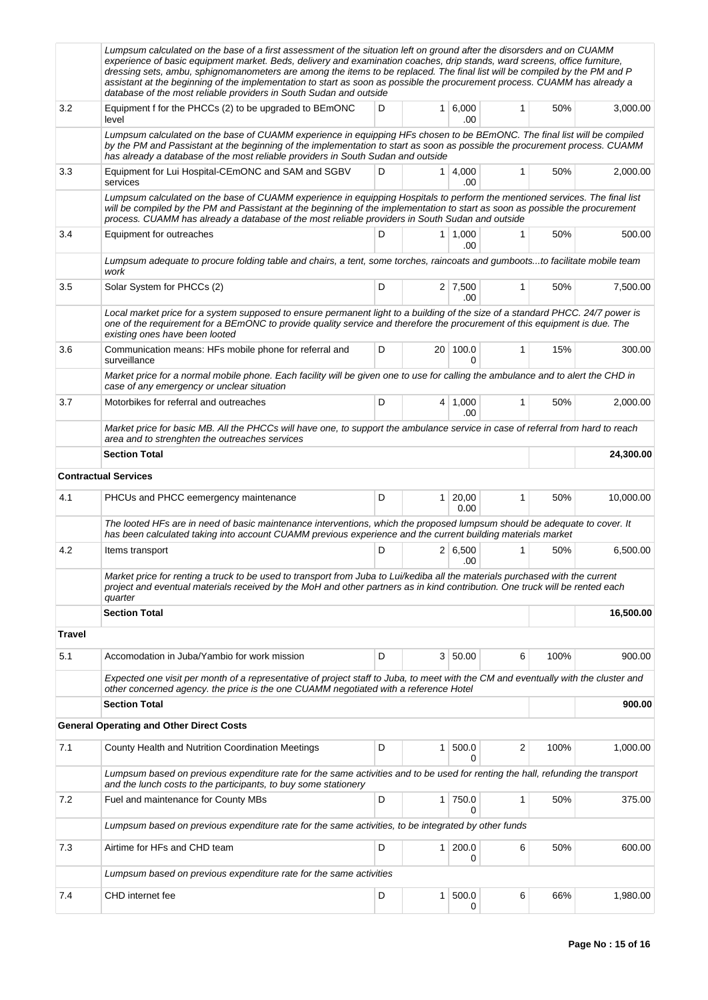|               | Lumpsum calculated on the base of a first assessment of the situation left on ground after the disorsders and on CUAMM<br>experience of basic equipment market. Beds, delivery and examination coaches, drip stands, ward screens, office furniture,<br>dressing sets, ambu, sphignomanometers are among the items to be replaced. The final list will be compiled by the PM and P<br>assistant at the beginning of the implementation to start as soon as possible the procurement process. CUAMM has already a<br>database of the most reliable providers in South Sudan and outside |     |                |                       |              |      |           |
|---------------|----------------------------------------------------------------------------------------------------------------------------------------------------------------------------------------------------------------------------------------------------------------------------------------------------------------------------------------------------------------------------------------------------------------------------------------------------------------------------------------------------------------------------------------------------------------------------------------|-----|----------------|-----------------------|--------------|------|-----------|
| 3.2           | Equipment f for the PHCCs (2) to be upgraded to BEmONC<br>level                                                                                                                                                                                                                                                                                                                                                                                                                                                                                                                        | D   |                | $1 \, 6,000$<br>.00   | 1            | 50%  | 3,000.00  |
|               | Lumpsum calculated on the base of CUAMM experience in equipping HFs chosen to be BEmONC. The final list will be compiled<br>by the PM and Passistant at the beginning of the implementation to start as soon as possible the procurement process. CUAMM<br>has already a database of the most reliable providers in South Sudan and outside                                                                                                                                                                                                                                            |     |                |                       |              |      |           |
| 3.3           | Equipment for Lui Hospital-CEmONC and SAM and SGBV<br>services                                                                                                                                                                                                                                                                                                                                                                                                                                                                                                                         | D   | 1 <sup>1</sup> | 4,000<br>.00          | 1            | 50%  | 2,000.00  |
|               | Lumpsum calculated on the base of CUAMM experience in equipping Hospitals to perform the mentioned services. The final list<br>will be compiled by the PM and Passistant at the beginning of the implementation to start as soon as possible the procurement<br>process. CUAMM has already a database of the most reliable providers in South Sudan and outside                                                                                                                                                                                                                        |     |                |                       |              |      |           |
| 3.4           | Equipment for outreaches                                                                                                                                                                                                                                                                                                                                                                                                                                                                                                                                                               | D   |                | $1 \mid 1,000$<br>.00 | 1            | 50%  | 500.00    |
|               | Lumpsum adequate to procure folding table and chairs, a tent, some torches, raincoats and gumbootsto facilitate mobile team<br>work                                                                                                                                                                                                                                                                                                                                                                                                                                                    |     |                |                       |              |      |           |
| 3.5           | Solar System for PHCCs (2)                                                                                                                                                                                                                                                                                                                                                                                                                                                                                                                                                             | D   |                | $2 \mid 7,500$<br>.00 | 1            | 50%  | 7,500.00  |
|               | Local market price for a system supposed to ensure permanent light to a building of the size of a standard PHCC. 24/7 power is<br>one of the requirement for a BEmONC to provide quality service and therefore the procurement of this equipment is due. The<br>existing ones have been looted                                                                                                                                                                                                                                                                                         |     |                |                       |              |      |           |
| 3.6           | Communication means: HFs mobile phone for referral and<br>surveillance                                                                                                                                                                                                                                                                                                                                                                                                                                                                                                                 | 15% | 300.00         |                       |              |      |           |
|               | Market price for a normal mobile phone. Each facility will be given one to use for calling the ambulance and to alert the CHD in<br>case of any emergency or unclear situation                                                                                                                                                                                                                                                                                                                                                                                                         |     |                |                       |              |      |           |
| 3.7           | Motorbikes for referral and outreaches                                                                                                                                                                                                                                                                                                                                                                                                                                                                                                                                                 | D   | 4              | 1,000<br>.00          | 1            | 50%  | 2,000.00  |
|               | Market price for basic MB. All the PHCCs will have one, to support the ambulance service in case of referral from hard to reach<br>area and to strenghten the outreaches services                                                                                                                                                                                                                                                                                                                                                                                                      |     |                |                       |              |      |           |
|               | <b>Section Total</b>                                                                                                                                                                                                                                                                                                                                                                                                                                                                                                                                                                   |     |                |                       |              |      | 24,300.00 |
|               | <b>Contractual Services</b>                                                                                                                                                                                                                                                                                                                                                                                                                                                                                                                                                            |     |                |                       |              |      |           |
| 4.1           | PHCUs and PHCC eemergency maintenance                                                                                                                                                                                                                                                                                                                                                                                                                                                                                                                                                  | D   | 1 <sup>1</sup> | 20,00<br>0.00         | $\mathbf{1}$ | 50%  | 10,000.00 |
|               | The looted HFs are in need of basic maintenance interventions, which the proposed lumpsum should be adequate to cover. It<br>has been calculated taking into account CUAMM previous experience and the current building materials market                                                                                                                                                                                                                                                                                                                                               |     |                |                       |              |      |           |
| 4.2           | Items transport                                                                                                                                                                                                                                                                                                                                                                                                                                                                                                                                                                        | D   |                | 2 6,500<br>.00        | 1            | 50%  | 6,500.00  |
|               | Market price for renting a truck to be used to transport from Juba to Lui/kediba all the materials purchased with the current<br>project and eventual materials received by the MoH and other partners as in kind contribution. One truck will be rented each<br>quarter                                                                                                                                                                                                                                                                                                               |     |                |                       |              |      |           |
|               | <b>Section Total</b>                                                                                                                                                                                                                                                                                                                                                                                                                                                                                                                                                                   |     |                |                       |              |      | 16,500.00 |
| <b>Travel</b> |                                                                                                                                                                                                                                                                                                                                                                                                                                                                                                                                                                                        |     |                |                       |              |      |           |
| 5.1           | Accomodation in Juba/Yambio for work mission                                                                                                                                                                                                                                                                                                                                                                                                                                                                                                                                           | D   |                | 3   50.00             | 6            | 100% | 900.00    |
|               | Expected one visit per month of a representative of project staff to Juba, to meet with the CM and eventually with the cluster and<br>other concerned agency. the price is the one CUAMM negotiated with a reference Hotel                                                                                                                                                                                                                                                                                                                                                             |     |                |                       |              |      |           |
|               | <b>Section Total</b>                                                                                                                                                                                                                                                                                                                                                                                                                                                                                                                                                                   |     |                |                       |              |      | 900.00    |
|               | <b>General Operating and Other Direct Costs</b>                                                                                                                                                                                                                                                                                                                                                                                                                                                                                                                                        |     |                |                       |              |      |           |
| 7.1           | County Health and Nutrition Coordination Meetings                                                                                                                                                                                                                                                                                                                                                                                                                                                                                                                                      | D   | 1              | 500.0                 | 2            | 100% | 1,000.00  |
|               | Lumpsum based on previous expenditure rate for the same activities and to be used for renting the hall, refunding the transport<br>and the lunch costs to the participants, to buy some stationery                                                                                                                                                                                                                                                                                                                                                                                     |     |                |                       |              |      |           |
| 7.2           | Fuel and maintenance for County MBs                                                                                                                                                                                                                                                                                                                                                                                                                                                                                                                                                    | D   | 1 <sup>1</sup> | 750.0<br>0            | 1            | 50%  | 375.00    |
|               | Lumpsum based on previous expenditure rate for the same activities, to be integrated by other funds                                                                                                                                                                                                                                                                                                                                                                                                                                                                                    |     |                |                       |              |      |           |
| 7.3           | Airtime for HFs and CHD team                                                                                                                                                                                                                                                                                                                                                                                                                                                                                                                                                           | D   | 1 <sup>1</sup> | 200.0<br>0            | 6            | 50%  | 600.00    |
|               | Lumpsum based on previous expenditure rate for the same activities                                                                                                                                                                                                                                                                                                                                                                                                                                                                                                                     |     |                |                       |              |      |           |
| 7.4           | CHD internet fee                                                                                                                                                                                                                                                                                                                                                                                                                                                                                                                                                                       | D   | $\mathbf{1}$   | 500.0<br>0            | 6            | 66%  | 1,980.00  |